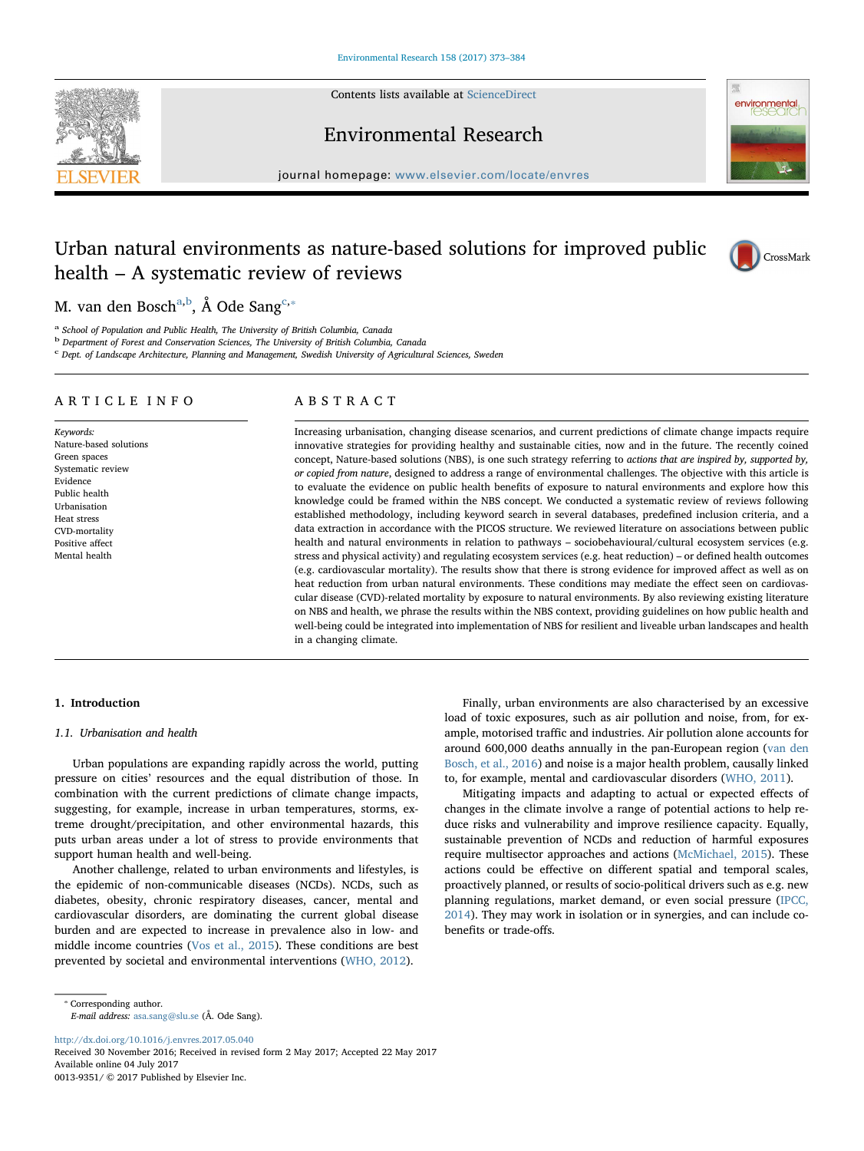Contents lists available at [ScienceDirect](http://www.sciencedirect.com/science/journal/00139351)





Environmental Research

journal homepage: [www.elsevier.com/locate/envres](http://www.elsevier.com/locate/envres)

# Urban natural environments as nature-based solutions for improved public health – A systematic review of reviews



M. van den Bosch<sup>[a,](#page-0-0)[b](#page-0-1)</sup>, Å Ode Sang<sup>[c,](#page-0-2)</sup>\*

<span id="page-0-0"></span><sup>a</sup> School of Population and Public Health, The University of British Columbia, Canada

<span id="page-0-1"></span>b Department of Forest and Conservation Sciences, The University of British Columbia, Canada

<span id="page-0-2"></span><sup>c</sup> Dept. of Landscape Architecture, Planning and Management, Swedish University of Agricultural Sciences, Sweden

## ARTICLE INFO

Keywords: Nature-based solutions Green spaces Systematic review Evidence Public health Urbanisation Heat stress CVD-mortality Positive affect Mental health

## ABSTRACT

Increasing urbanisation, changing disease scenarios, and current predictions of climate change impacts require innovative strategies for providing healthy and sustainable cities, now and in the future. The recently coined concept, Nature-based solutions (NBS), is one such strategy referring to actions that are inspired by, supported by, or copied from nature, designed to address a range of environmental challenges. The objective with this article is to evaluate the evidence on public health benefits of exposure to natural environments and explore how this knowledge could be framed within the NBS concept. We conducted a systematic review of reviews following established methodology, including keyword search in several databases, predefined inclusion criteria, and a data extraction in accordance with the PICOS structure. We reviewed literature on associations between public health and natural environments in relation to pathways – sociobehavioural/cultural ecosystem services (e.g. stress and physical activity) and regulating ecosystem services (e.g. heat reduction) – or defined health outcomes (e.g. cardiovascular mortality). The results show that there is strong evidence for improved affect as well as on heat reduction from urban natural environments. These conditions may mediate the effect seen on cardiovascular disease (CVD)-related mortality by exposure to natural environments. By also reviewing existing literature on NBS and health, we phrase the results within the NBS context, providing guidelines on how public health and well-being could be integrated into implementation of NBS for resilient and liveable urban landscapes and health in a changing climate.

## 1. Introduction

## 1.1. Urbanisation and health

Urban populations are expanding rapidly across the world, putting pressure on cities' resources and the equal distribution of those. In combination with the current predictions of climate change impacts, suggesting, for example, increase in urban temperatures, storms, extreme drought/precipitation, and other environmental hazards, this puts urban areas under a lot of stress to provide environments that support human health and well-being.

Another challenge, related to urban environments and lifestyles, is the epidemic of non-communicable diseases (NCDs). NCDs, such as diabetes, obesity, chronic respiratory diseases, cancer, mental and cardiovascular disorders, are dominating the current global disease burden and are expected to increase in prevalence also in low- and middle income countries [\(Vos et al., 2015](#page-11-0)). These conditions are best prevented by societal and environmental interventions ([WHO, 2012](#page-11-1)).

E-mail address: [asa.sang@slu.se](mailto:asa.sang@slu.se) (Å. Ode Sang).

<http://dx.doi.org/10.1016/j.envres.2017.05.040>

Received 30 November 2016; Received in revised form 2 May 2017; Accepted 22 May 2017 Available online 04 July 2017 0013-9351/ © 2017 Published by Elsevier Inc.

Finally, urban environments are also characterised by an excessive load of toxic exposures, such as air pollution and noise, from, for example, motorised traffic and industries. Air pollution alone accounts for around 600,000 deaths annually in the pan-European region [\(van den](#page-11-2) [Bosch, et al., 2016\)](#page-11-2) and noise is a major health problem, causally linked to, for example, mental and cardiovascular disorders [\(WHO, 2011](#page-11-3)).

Mitigating impacts and adapting to actual or expected effects of changes in the climate involve a range of potential actions to help reduce risks and vulnerability and improve resilience capacity. Equally, sustainable prevention of NCDs and reduction of harmful exposures require multisector approaches and actions [\(McMichael, 2015](#page-10-0)). These actions could be effective on different spatial and temporal scales, proactively planned, or results of socio-political drivers such as e.g. new planning regulations, market demand, or even social pressure [\(IPCC,](#page-10-1) [2014\)](#page-10-1). They may work in isolation or in synergies, and can include cobenefits or trade-offs.

<span id="page-0-3"></span><sup>⁎</sup> Corresponding author.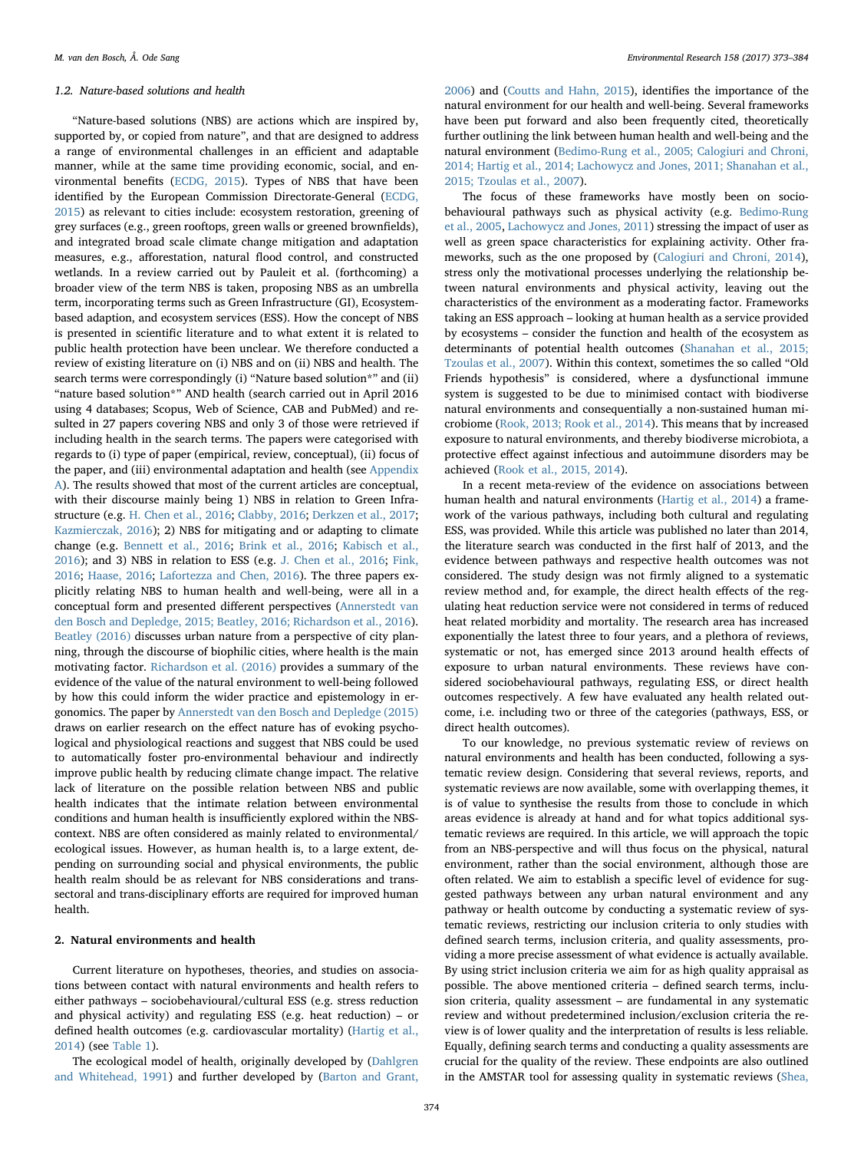#### 1.2. Nature-based solutions and health

"Nature-based solutions (NBS) are actions which are inspired by, supported by, or copied from nature", and that are designed to address a range of environmental challenges in an efficient and adaptable manner, while at the same time providing economic, social, and environmental benefits [\(ECDG, 2015\)](#page-10-2). Types of NBS that have been identified by the European Commission Directorate-General ([ECDG,](#page-10-2) [2015\)](#page-10-2) as relevant to cities include: ecosystem restoration, greening of grey surfaces (e.g., green rooftops, green walls or greened brownfields), and integrated broad scale climate change mitigation and adaptation measures, e.g., afforestation, natural flood control, and constructed wetlands. In a review carried out by Pauleit et al. (forthcoming) a broader view of the term NBS is taken, proposing NBS as an umbrella term, incorporating terms such as Green Infrastructure (GI), Ecosystembased adaption, and ecosystem services (ESS). How the concept of NBS is presented in scientific literature and to what extent it is related to public health protection have been unclear. We therefore conducted a review of existing literature on (i) NBS and on (ii) NBS and health. The search terms were correspondingly (i) "Nature based solution\*" and (ii) "nature based solution\*" AND health (search carried out in April 2016 using 4 databases; Scopus, Web of Science, CAB and PubMed) and resulted in 27 papers covering NBS and only 3 of those were retrieved if including health in the search terms. The papers were categorised with regards to (i) type of paper (empirical, review, conceptual), (ii) focus of the paper, and (iii) environmental adaptation and health (see [Appendix](#page-9-0) [A\)](#page-9-0). The results showed that most of the current articles are conceptual, with their discourse mainly being 1) NBS in relation to Green Infrastructure (e.g. [H. Chen et al., 2016;](#page-10-3) [Clabby, 2016;](#page-10-4) [Derkzen et al., 2017](#page-10-5); [Kazmierczak, 2016](#page-10-6)); 2) NBS for mitigating and or adapting to climate change (e.g. [Bennett et al., 2016](#page-9-1); [Brink et al., 2016](#page-9-2); [Kabisch et al.,](#page-10-7) [2016\)](#page-10-7); and 3) NBS in relation to ESS (e.g. [J. Chen et al., 2016;](#page-10-8) [Fink,](#page-10-9) [2016;](#page-10-9) [Haase, 2016;](#page-10-10) [Lafortezza and Chen, 2016\)](#page-10-11). The three papers explicitly relating NBS to human health and well-being, were all in a conceptual form and presented different perspectives [\(Annerstedt van](#page-9-3) [den Bosch and Depledge, 2015; Beatley, 2016; Richardson et al., 2016](#page-9-3)). [Beatley \(2016\)](#page-9-4) discusses urban nature from a perspective of city planning, through the discourse of biophilic cities, where health is the main motivating factor. [Richardson et al. \(2016\)](#page-11-4) provides a summary of the evidence of the value of the natural environment to well-being followed by how this could inform the wider practice and epistemology in ergonomics. The paper by [Annerstedt van den Bosch and Depledge \(2015\)](#page-9-3) draws on earlier research on the effect nature has of evoking psychological and physiological reactions and suggest that NBS could be used to automatically foster pro-environmental behaviour and indirectly improve public health by reducing climate change impact. The relative lack of literature on the possible relation between NBS and public health indicates that the intimate relation between environmental conditions and human health is insufficiently explored within the NBScontext. NBS are often considered as mainly related to environmental/ ecological issues. However, as human health is, to a large extent, depending on surrounding social and physical environments, the public health realm should be as relevant for NBS considerations and transsectoral and trans-disciplinary efforts are required for improved human health.

## 2. Natural environments and health

Current literature on hypotheses, theories, and studies on associations between contact with natural environments and health refers to either pathways – sociobehavioural/cultural ESS (e.g. stress reduction and physical activity) and regulating ESS (e.g. heat reduction) – or defined health outcomes (e.g. cardiovascular mortality) ([Hartig et al.,](#page-10-12) [2014\)](#page-10-12) (see [Table 1\)](#page-2-0).

The ecological model of health, originally developed by [\(Dahlgren](#page-10-13) [and Whitehead, 1991](#page-10-13)) and further developed by ([Barton and Grant,](#page-9-5)

[2006\)](#page-9-5) and [\(Coutts and Hahn, 2015](#page-10-14)), identifies the importance of the natural environment for our health and well-being. Several frameworks have been put forward and also been frequently cited, theoretically further outlining the link between human health and well-being and the natural environment [\(Bedimo-Rung et al., 2005; Calogiuri and Chroni,](#page-9-6) [2014; Hartig et al., 2014; Lachowycz and Jones, 2011; Shanahan et al.,](#page-9-6) [2015; Tzoulas et al., 2007\)](#page-9-6).

The focus of these frameworks have mostly been on sociobehavioural pathways such as physical activity (e.g. [Bedimo-Rung](#page-9-6) [et al., 2005](#page-9-6), [Lachowycz and Jones, 2011](#page-10-15)) stressing the impact of user as well as green space characteristics for explaining activity. Other frameworks, such as the one proposed by [\(Calogiuri and Chroni, 2014](#page-9-7)), stress only the motivational processes underlying the relationship between natural environments and physical activity, leaving out the characteristics of the environment as a moderating factor. Frameworks taking an ESS approach – looking at human health as a service provided by ecosystems – consider the function and health of the ecosystem as determinants of potential health outcomes [\(Shanahan et al., 2015;](#page-11-5) [Tzoulas et al., 2007\)](#page-11-5). Within this context, sometimes the so called "Old Friends hypothesis" is considered, where a dysfunctional immune system is suggested to be due to minimised contact with biodiverse natural environments and consequentially a non-sustained human microbiome ([Rook, 2013; Rook et al., 2014\)](#page-11-6). This means that by increased exposure to natural environments, and thereby biodiverse microbiota, a protective effect against infectious and autoimmune disorders may be achieved ([Rook et al., 2015, 2014\)](#page-11-7).

In a recent meta-review of the evidence on associations between human health and natural environments [\(Hartig et al., 2014](#page-10-12)) a framework of the various pathways, including both cultural and regulating ESS, was provided. While this article was published no later than 2014, the literature search was conducted in the first half of 2013, and the evidence between pathways and respective health outcomes was not considered. The study design was not firmly aligned to a systematic review method and, for example, the direct health effects of the regulating heat reduction service were not considered in terms of reduced heat related morbidity and mortality. The research area has increased exponentially the latest three to four years, and a plethora of reviews, systematic or not, has emerged since 2013 around health effects of exposure to urban natural environments. These reviews have considered sociobehavioural pathways, regulating ESS, or direct health outcomes respectively. A few have evaluated any health related outcome, i.e. including two or three of the categories (pathways, ESS, or direct health outcomes).

To our knowledge, no previous systematic review of reviews on natural environments and health has been conducted, following a systematic review design. Considering that several reviews, reports, and systematic reviews are now available, some with overlapping themes, it is of value to synthesise the results from those to conclude in which areas evidence is already at hand and for what topics additional systematic reviews are required. In this article, we will approach the topic from an NBS-perspective and will thus focus on the physical, natural environment, rather than the social environment, although those are often related. We aim to establish a specific level of evidence for suggested pathways between any urban natural environment and any pathway or health outcome by conducting a systematic review of systematic reviews, restricting our inclusion criteria to only studies with defined search terms, inclusion criteria, and quality assessments, providing a more precise assessment of what evidence is actually available. By using strict inclusion criteria we aim for as high quality appraisal as possible. The above mentioned criteria – defined search terms, inclusion criteria, quality assessment – are fundamental in any systematic review and without predetermined inclusion/exclusion criteria the review is of lower quality and the interpretation of results is less reliable. Equally, defining search terms and conducting a quality assessments are crucial for the quality of the review. These endpoints are also outlined in the AMSTAR tool for assessing quality in systematic reviews ([Shea,](#page-11-8)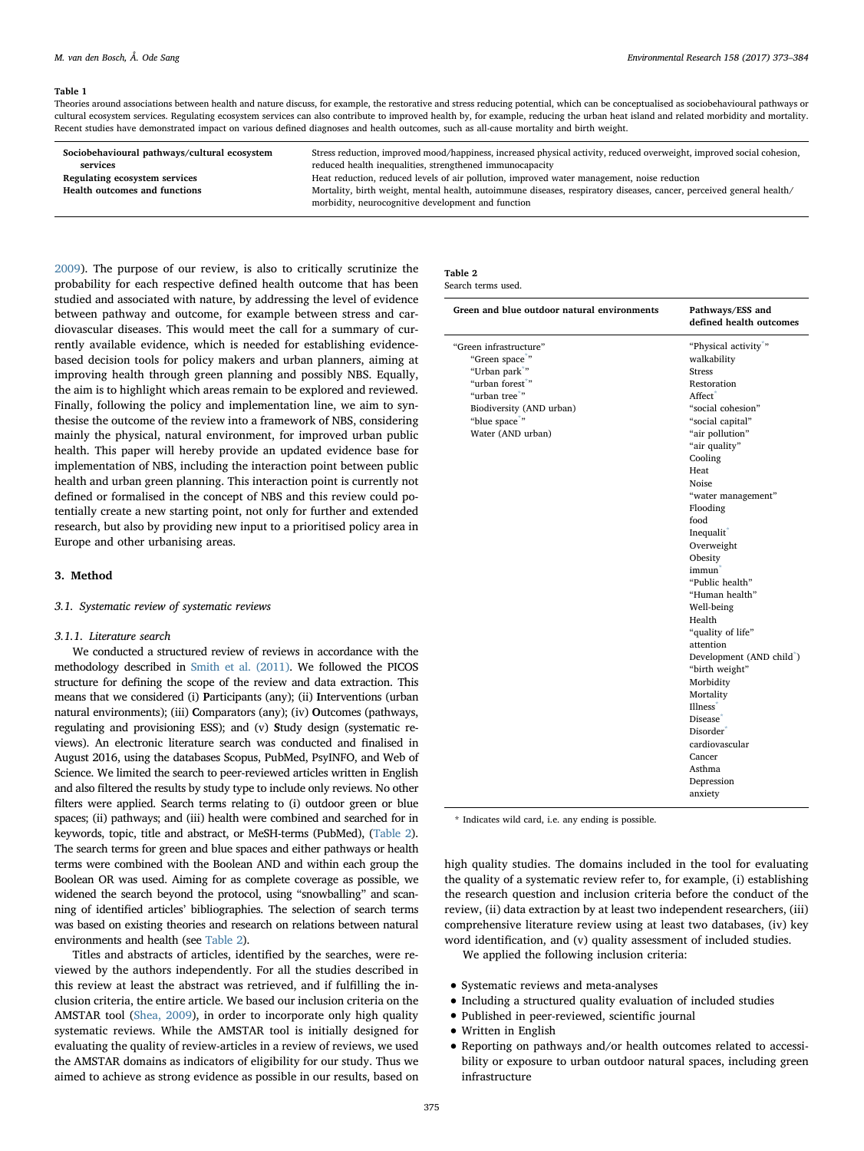#### <span id="page-2-0"></span>Table 1

Theories around associations between health and nature discuss, for example, the restorative and stress reducing potential, which can be conceptualised as sociobehavioural pathways or cultural ecosystem services. Regulating ecosystem services can also contribute to improved health by, for example, reducing the urban heat island and related morbidity and mortality. Recent studies have demonstrated impact on various defined diagnoses and health outcomes, such as all-cause mortality and birth weight.

| Sociobehavioural pathways/cultural ecosystem<br>services | Stress reduction, improved mood/happiness, increased physical activity, reduced overweight, improved social cohesion,<br>reduced health inequalities, strengthened immunocapacity |
|----------------------------------------------------------|-----------------------------------------------------------------------------------------------------------------------------------------------------------------------------------|
| Regulating ecosystem services                            | Heat reduction, reduced levels of air pollution, improved water management, noise reduction                                                                                       |
| <b>Health outcomes and functions</b>                     | Mortality, birth weight, mental health, autoimmune diseases, respiratory diseases, cancer, perceived general health/                                                              |
|                                                          | morbidity, neurocognitive development and function                                                                                                                                |

[2009\)](#page-11-8). The purpose of our review, is also to critically scrutinize the probability for each respective defined health outcome that has been studied and associated with nature, by addressing the level of evidence between pathway and outcome, for example between stress and cardiovascular diseases. This would meet the call for a summary of currently available evidence, which is needed for establishing evidencebased decision tools for policy makers and urban planners, aiming at improving health through green planning and possibly NBS. Equally, the aim is to highlight which areas remain to be explored and reviewed. Finally, following the policy and implementation line, we aim to synthesise the outcome of the review into a framework of NBS, considering mainly the physical, natural environment, for improved urban public health. This paper will hereby provide an updated evidence base for implementation of NBS, including the interaction point between public health and urban green planning. This interaction point is currently not defined or formalised in the concept of NBS and this review could potentially create a new starting point, not only for further and extended research, but also by providing new input to a prioritised policy area in Europe and other urbanising areas.

## 3. Method

## 3.1. Systematic review of systematic reviews

## 3.1.1. Literature search

We conducted a structured review of reviews in accordance with the methodology described in [Smith et al. \(2011\).](#page-11-9) We followed the PICOS structure for defining the scope of the review and data extraction. This means that we considered (i) Participants (any); (ii) Interventions (urban natural environments); (iii) Comparators (any); (iv) Outcomes (pathways, regulating and provisioning ESS); and (v) Study design (systematic reviews). An electronic literature search was conducted and finalised in August 2016, using the databases Scopus, PubMed, PsyINFO, and Web of Science. We limited the search to peer-reviewed articles written in English and also filtered the results by study type to include only reviews. No other filters were applied. Search terms relating to (i) outdoor green or blue spaces; (ii) pathways; and (iii) health were combined and searched for in keywords, topic, title and abstract, or MeSH-terms (PubMed), [\(Table 2\)](#page-2-1). The search terms for green and blue spaces and either pathways or health terms were combined with the Boolean AND and within each group the Boolean OR was used. Aiming for as complete coverage as possible, we widened the search beyond the protocol, using "snowballing" and scanning of identified articles' bibliographies. The selection of search terms was based on existing theories and research on relations between natural environments and health (see [Table 2](#page-2-1)).

Titles and abstracts of articles, identified by the searches, were reviewed by the authors independently. For all the studies described in this review at least the abstract was retrieved, and if fulfilling the inclusion criteria, the entire article. We based our inclusion criteria on the AMSTAR tool [\(Shea, 2009](#page-11-8)), in order to incorporate only high quality systematic reviews. While the AMSTAR tool is initially designed for evaluating the quality of review-articles in a review of reviews, we used the AMSTAR domains as indicators of eligibility for our study. Thus we aimed to achieve as strong evidence as possible in our results, based on

#### <span id="page-2-1"></span>Table 2 Search terms used.

| Green and blue outdoor natural environments                                                                                                                     | Pathways/ESS and<br>defined health outcomes                                                                                                                                                                                                                                                                                                                                                                                                                                                                                                                                                                               |
|-----------------------------------------------------------------------------------------------------------------------------------------------------------------|---------------------------------------------------------------------------------------------------------------------------------------------------------------------------------------------------------------------------------------------------------------------------------------------------------------------------------------------------------------------------------------------------------------------------------------------------------------------------------------------------------------------------------------------------------------------------------------------------------------------------|
| "Green infrastructure"<br>"Green space""<br>"Urban park""<br>"urban forest""<br>"urban tree""<br>Biodiversity (AND urban)<br>"blue space""<br>Water (AND urban) | "Physical activity""<br>walkability<br><b>Stress</b><br>Restoration<br>Affect <sup>®</sup><br>"social cohesion"<br>"social capital"<br>"air pollution"<br>"air quality"<br>Cooling<br>Heat<br>Noise<br>"water management"<br>Flooding<br>food<br>Inequalit <sup>*</sup><br>Overweight<br>Obesity<br>immun <sup>1</sup><br>"Public health"<br>"Human health"<br>Well-being<br>Health<br>"quality of life"<br>attention<br>Development (AND child <sup>*</sup> )<br>"birth weight"<br>Morbidity<br>Mortality<br>Illness <sup>*</sup><br>Disease <sup>*</sup><br>Disorder <sup>®</sup><br>cardiovascular<br>Cancer<br>Asthma |

<span id="page-2-2"></span>\* Indicates wild card, i.e. any ending is possible.

high quality studies. The domains included in the tool for evaluating the quality of a systematic review refer to, for example, (i) establishing the research question and inclusion criteria before the conduct of the review, (ii) data extraction by at least two independent researchers, (iii) comprehensive literature review using at least two databases, (iv) key word identification, and (v) quality assessment of included studies.

We applied the following inclusion criteria:

- Systematic reviews and meta-analyses
- Including a structured quality evaluation of included studies
- Published in peer-reviewed, scientific journal
- Written in English
- Reporting on pathways and/or health outcomes related to accessibility or exposure to urban outdoor natural spaces, including green infrastructure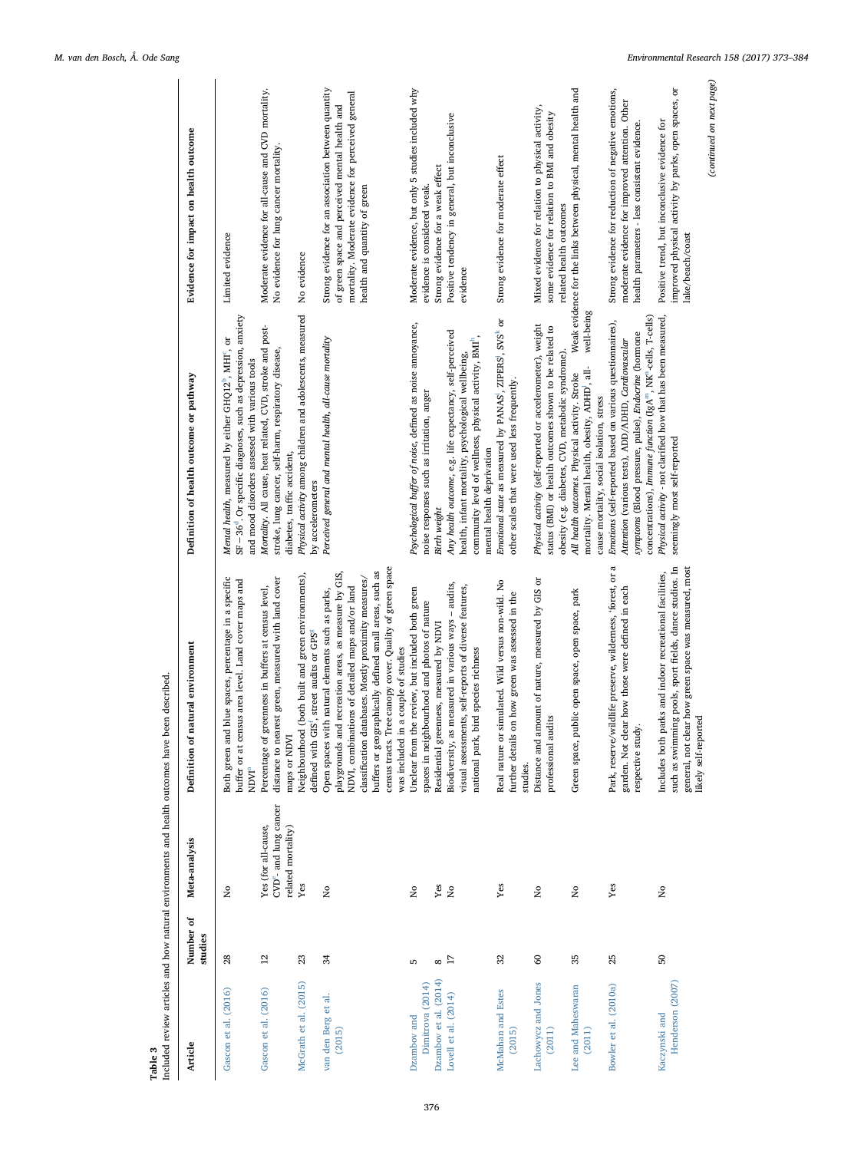<span id="page-3-0"></span>

| Table 3                                                  |                      |                                                                                 | Included review articles and how natural environments and health outcomes have been described.                                                                                                                                                                                                                                                                                   |                                                                                                                                                                                                                                                                   |                                                                                                                                                                                             |
|----------------------------------------------------------|----------------------|---------------------------------------------------------------------------------|----------------------------------------------------------------------------------------------------------------------------------------------------------------------------------------------------------------------------------------------------------------------------------------------------------------------------------------------------------------------------------|-------------------------------------------------------------------------------------------------------------------------------------------------------------------------------------------------------------------------------------------------------------------|---------------------------------------------------------------------------------------------------------------------------------------------------------------------------------------------|
| Article                                                  | Number of<br>studies | Meta-analysis                                                                   | Definition of natural environment                                                                                                                                                                                                                                                                                                                                                | Definition of health outcome or pathway                                                                                                                                                                                                                           | Evidence for impact on health outcome                                                                                                                                                       |
| Gascon et al. (2016)                                     | 28                   | δ                                                                               | Both green and blue spaces, percentage in a specific<br>buffer or at census area level. Land cover maps and<br>NDVI <sup>a</sup>                                                                                                                                                                                                                                                 | SF-36 <sup>d</sup> . Or specific diagnoses, such as depression, anxiety<br>Mental health, measured by either GHQ12 <sup>b</sup> , MHI <sup>c</sup> , or<br>and mood disorders assessed with various tools                                                         | Limited evidence                                                                                                                                                                            |
| Gascon et al. (2016)                                     | $\overline{12}$      | CVD <sup>e</sup> - and lung cancer<br>Yes (for all-cause,<br>related mortality) | distance to nearest green, measured with land cover<br>enness in buffers at census level,<br>Percentage of gro<br>maps or NDVI                                                                                                                                                                                                                                                   | Mortality. All cause, heat related, CVD, stroke and post-<br>stroke, lung cancer, self-harm, respiratory disease,<br>diabetes, traffic accident,                                                                                                                  | Moderate evidence for all-cause and CVD mortality.<br>No evidence for lung cancer mortality.                                                                                                |
| McGrath et al. (2015)                                    | 23                   | Yes                                                                             | Neighbourhood (both built and green environments),<br>defined with GIS <sup>6</sup> , street audits or GPS <sup>8</sup>                                                                                                                                                                                                                                                          | Physical activity among children and adolescents, measured<br>by accelerometers                                                                                                                                                                                   | No evidence                                                                                                                                                                                 |
| van den Berg et al.<br>(2015)                            | 34                   | δ                                                                               | census tracts. Tree canopy cover. Quality of green space<br>buffers or geographically defined small areas, such as<br>playgrounds and recreation areas, as measure by GIS,<br>classification databases. Mostly proximity measures/<br>NDVI, combinations of detailed maps and/or land<br>Open spaces with natural elements such as parks,<br>was included in a couple of studies | Perceived general and mental health, all-cause mortality                                                                                                                                                                                                          | Strong evidence for an association between quantity<br>mortality. Moderate evidence for perceived general<br>of green space and perceived mental health and<br>health and quantity of green |
| Dzambov et al. (2014)<br>Dimitrova (2014)<br>Dzambov and | ${}^{\circ}$<br>Б    | Yes<br>$\frac{1}{2}$                                                            | Unclear from the review, but included both green<br>spaces in neighbourhood and photos of nature<br>Residential greenness, measured by NDVI                                                                                                                                                                                                                                      | Psychological buffer of noise, defined as noise annoyance,<br>noise responses such as irritation, anger<br>Birth weight                                                                                                                                           | Moderate evidence, but only 5 studies included why<br>Strong evidence for a weak effect<br>evidence is considered weak.                                                                     |
| Lovell et al. (2014)                                     | $\overline{17}$      | $\overline{\mathsf{a}}$                                                         | Biodiversity, as measured in various ways - audits,<br>visual assessments, self-reports of diverse features,<br>national park, bird species richness                                                                                                                                                                                                                             | Any health outcome, e.g. life expectancy, self-perceived<br>community level of wellness, physical activity, BMI <sup>h</sup> ,<br>health, infant mortality, psychological wellbeing,<br>mental health deprivation                                                 | Positive tendency in general, but inconclusive<br>evidence                                                                                                                                  |
| McMahan and Estes<br>(2015)                              | 32                   | Yes                                                                             | Real nature or simulated. Wild versus non-wild. No<br>further details on how green was assessed in the<br>studies.                                                                                                                                                                                                                                                               | Emotional state as measured by PANAS <sup>1</sup> , ZIPERS <sup>1</sup> , SVS <sup>k</sup> or<br>other scales that were used less frequently.                                                                                                                     | Strong evidence for moderate effect                                                                                                                                                         |
| Lachowycz and Jones<br>(2011)                            | $\mathcal{S}$        | $\rm _{XO}$                                                                     | Distance and amount of nature, measured by GIS or<br>professional audits                                                                                                                                                                                                                                                                                                         | Physical activity (self-reported or accelerometer), weight<br>status (BMI) or health outcomes shown to be related to<br>obesity (e.g. diabetes, CVD, metabolic syndrome).                                                                                         | Mixed evidence for relation to physical activity,<br>some evidence for relation to BMI and obesity<br>related health outcomes                                                               |
| Lee and Maheswaran<br>(2011)                             | 35                   | $\overline{\mathsf{x}}$                                                         | Green space, public open space, open space, park                                                                                                                                                                                                                                                                                                                                 | well-being<br>mortality. Mental health, obesity, ADHD <sup>1</sup> , all-<br>All health outcomes. Physical activity. Stroke<br>cause mortality, social isolation, stress                                                                                          | Weak evidence for the links between physical, mental health and                                                                                                                             |
| Bowler et al. (2010a)                                    | 25                   | Yes                                                                             | Park, reserve/wildlife preserve, wildemess, 'forest, or a<br>garden. Not clear how those were defined in each<br>respective study.                                                                                                                                                                                                                                               | concentrations), Immune function (IgA <sup>m</sup> , NK <sup>n</sup> -cells, T-cells)<br>Emotions (self-reported based on various questionnaires),<br>symptoms (Blood pressure, pulse), Endocrine (hormone<br>Attention (various tests), ADD/ADHD, Cardiovascular | Strong evidence for reduction of negative emotions,<br>moderate evidence for improved attention. Other<br>health parameters - less consistent evidence.                                     |
| Henderson (2007)<br>Kaczynski and                        | 50                   | $\overline{\mathsf{x}}$                                                         | such as swimming pools, sport fields, dance studios. In<br>general, not clear how green space was measured, most<br>Includes both parks and indoor recreational facilities,<br>likely self-reported                                                                                                                                                                              | Physical activity - not clarified how that has been measured,<br>seemingly most self-reported                                                                                                                                                                     | (continued on next page)<br>improved physical activity by parks, open spaces, or<br>Positive trend, but inconclusive evidence for<br>lake/beach/coast                                       |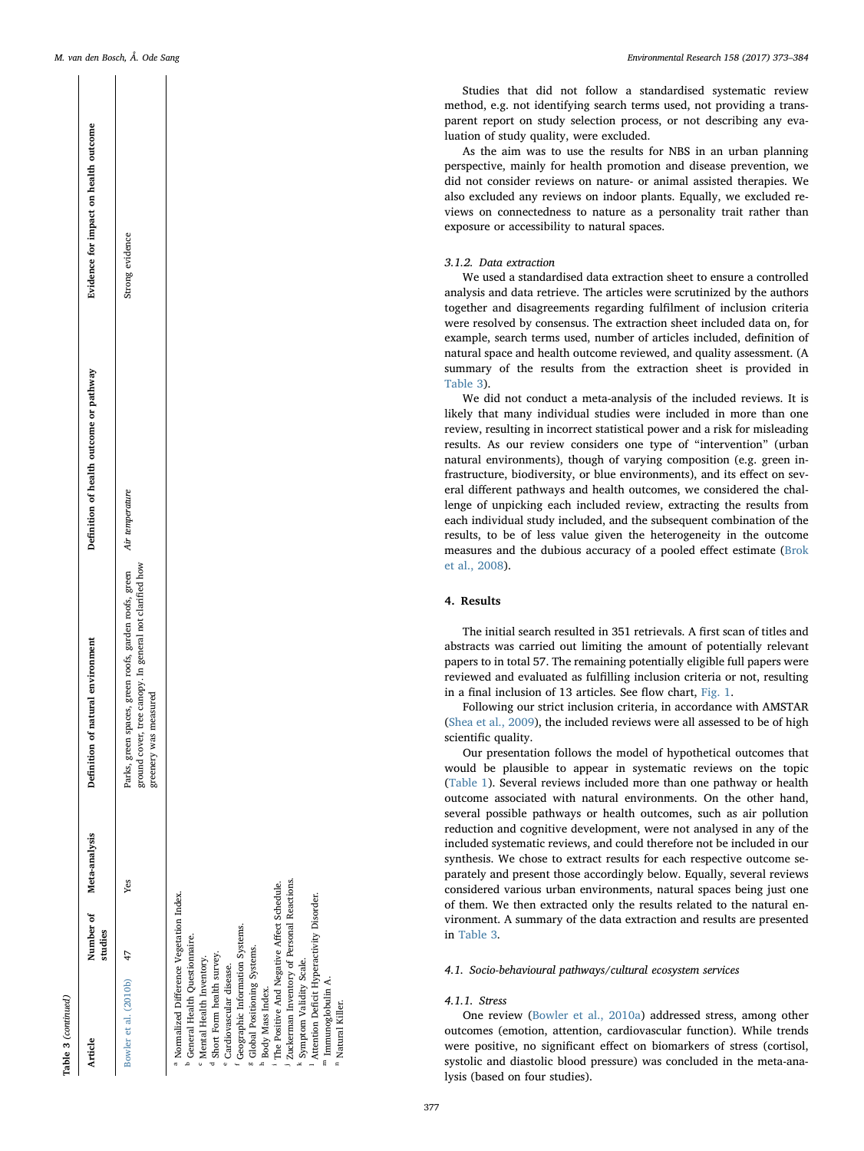<span id="page-4-6"></span><span id="page-4-5"></span><span id="page-4-4"></span><span id="page-4-3"></span><span id="page-4-2"></span><span id="page-4-1"></span><span id="page-4-0"></span>

| Article                                                                              | studies | Number of Meta-analysis | Definition of natural environment                                                                                                                         | Definition of health outcome or pathway | Evidence for impact on health outcome |
|--------------------------------------------------------------------------------------|---------|-------------------------|-----------------------------------------------------------------------------------------------------------------------------------------------------------|-----------------------------------------|---------------------------------------|
| Bowler et al. (2010b)                                                                |         | Yes                     | Parks, green spaces, green roofs, garden roofs, green Air temperature<br>ground cover, tree canopy. In general not clarified how<br>greenery was measured |                                         | Strong evidence                       |
| Normalized Difference Vegetation Index.<br><sup>D</sup> Canaral Haalth Ouactionnaira |         |                         |                                                                                                                                                           |                                         |                                       |

<sup>1</sup> The Positive And Negative Affect Schedule.<br><sup>j</sup> Zuckerman Inventory of Personal Reactions. The Positive And Negative Affect Schedule. Zuckerman Inventory of Personal Reactions <sup>a</sup> Normalized Difference Vegetation Index.<br><sup>b</sup> General Health Questionnaire. Geographic Information Systems. Geographic Information Systems. Global Positioning Systems. Global Positioning Systems. Short Form health survey. Short Form health survey. Mental Health Inventory. Mental Health Inventory. Cardiovascular disease. Cardiovascular disease. Body Mass Index. Body Mass Index.

c

d

f

g

ء

k

Symptom Validity Scale.

Symptom Validity Scale

<sup>A</sup> Attention Deficit Hyperactivity Disorder.<br><sup>m</sup> Immunoglobulin A.<br><sup>n</sup> Natural Killer.

Immunoglobulin A

Natural Killer

Attention Deficit Hyperactivity Disorder

M. van den Bosch, Å. Ode Sang *Environmental Research 158 (2017) 373–384*

<span id="page-4-13"></span><span id="page-4-12"></span><span id="page-4-11"></span><span id="page-4-10"></span><span id="page-4-9"></span><span id="page-4-8"></span><span id="page-4-7"></span>Studies that did not follow a standardised systematic review method, e.g. not identifying search terms used, not providing a transparent report on study selection process, or not describing any evaluation of study quality, were excluded.

As the aim was to use the results for NBS in an urban planning perspective, mainly for health promotion and disease prevention, we did not consider reviews on nature- or animal assisted therapies. We also excluded any reviews on indoor plants. Equally, we excluded reviews on connectedness to nature as a personality trait rather than exposure or accessibility to natural spaces.

## 3.1.2. Data extraction

We used a standardised data extraction sheet to ensure a controlled analysis and data retrieve. The articles were scrutinized by the authors together and disagreements regarding fulfilment of inclusion criteria were resolved by consensus. The extraction sheet included data on, for example, search terms used, number of articles included, definition of natural space and health outcome reviewed, and quality assessment. (A summary of the results from the extraction sheet is provided in [Table 3](#page-3-0)).

We did not conduct a meta-analysis of the included reviews. It is likely that many individual studies were included in more than one review, resulting in incorrect statistical power and a risk for misleading results. As our review considers one type of "intervention" (urban natural environments), though of varying composition (e.g. green infrastructure, biodiversity, or blue environments), and its effect on several different pathways and health outcomes, we considered the challenge of unpicking each included review, extracting the results from each individual study included, and the subsequent combination of the results, to be of less value given the heterogeneity in the outcome measures and the dubious accuracy of a pooled effect estimate [\(Brok](#page-9-9) [et al., 2008](#page-9-9)).

## 4. Results

The initial search resulted in 351 retrievals. A first scan of titles and abstracts was carried out limiting the amount of potentially relevant papers to in total 57. The remaining potentially eligible full papers were reviewed and evaluated as fulfilling inclusion criteria or not, resulting in a final inclusion of 13 articles. See flow chart, [Fig. 1.](#page-5-0)

Following our strict inclusion criteria, in accordance with AMSTAR ([Shea et al., 2009](#page-11-8)), the included reviews were all assessed to be of high scientific quality.

Our presentation follows the model of hypothetical outcomes that would be plausible to appear in systematic reviews on the topic ([Table 1\)](#page-2-0). Several reviews included more than one pathway or health outcome associated with natural environments. On the other hand, several possible pathways or health outcomes, such as air pollution reduction and cognitive development, were not analysed in any of the included systematic reviews, and could therefore not be included in our synthesis. We chose to extract results for each respective outcome separately and present those accordingly below. Equally, several reviews considered various urban environments, natural spaces being just one of them. We then extracted only the results related to the natural environment. A summary of the data extraction and results are presented in [Table 3.](#page-3-0)

## 4.1. Socio-behavioural pathways/cultural ecosystem services

#### 4.1.1. Stress

One review [\(Bowler et al., 2010a\)](#page-9-8) addressed stress, among other outcomes (emotion, attention, cardiovascular function). While trends were positive, no significant effect on biomarkers of stress (cortisol, systolic and diastolic blood pressure) was concluded in the meta-analysis (based on four studies).

Table 3 (continued) Table 3 (continued)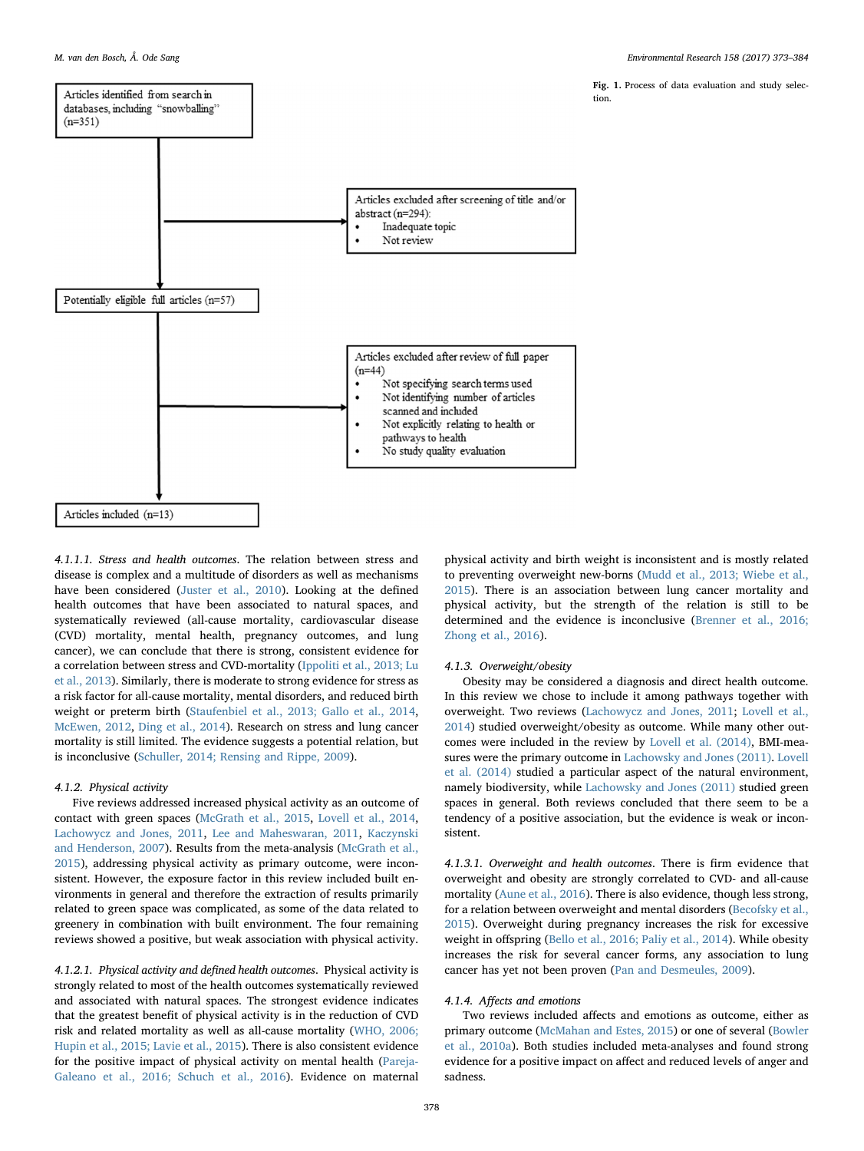<span id="page-5-0"></span>

Fig. 1. Process of data evaluation and study selection.

4.1.1.1. Stress and health outcomes. The relation between stress and disease is complex and a multitude of disorders as well as mechanisms have been considered ([Juster et al., 2010](#page-10-24)). Looking at the defined health outcomes that have been associated to natural spaces, and systematically reviewed (all-cause mortality, cardiovascular disease (CVD) mortality, mental health, pregnancy outcomes, and lung cancer), we can conclude that there is strong, consistent evidence for a correlation between stress and CVD-mortality [\(Ippoliti et al., 2013; Lu](#page-10-25) [et al., 2013\)](#page-10-25). Similarly, there is moderate to strong evidence for stress as a risk factor for all-cause mortality, mental disorders, and reduced birth weight or preterm birth [\(Staufenbiel et al., 2013; Gallo et al., 2014](#page-11-11), [McEwen, 2012,](#page-10-26) [Ding et al., 2014\)](#page-10-27). Research on stress and lung cancer mortality is still limited. The evidence suggests a potential relation, but is inconclusive [\(Schuller, 2014; Rensing and Rippe, 2009](#page-11-12)).

#### 4.1.2. Physical activity

Five reviews addressed increased physical activity as an outcome of contact with green spaces ([McGrath et al., 2015,](#page-10-17) [Lovell et al., 2014](#page-10-20), [Lachowycz and Jones, 2011,](#page-10-15) [Lee and Maheswaran, 2011,](#page-10-22) [Kaczynski](#page-10-23) [and Henderson, 2007\)](#page-10-23). Results from the meta-analysis ([McGrath et al.,](#page-10-17) [2015\)](#page-10-17), addressing physical activity as primary outcome, were inconsistent. However, the exposure factor in this review included built environments in general and therefore the extraction of results primarily related to green space was complicated, as some of the data related to greenery in combination with built environment. The four remaining reviews showed a positive, but weak association with physical activity.

4.1.2.1. Physical activity and defined health outcomes. Physical activity is strongly related to most of the health outcomes systematically reviewed and associated with natural spaces. The strongest evidence indicates that the greatest benefit of physical activity is in the reduction of CVD risk and related mortality as well as all-cause mortality [\(WHO, 2006;](#page-11-13) [Hupin et al., 2015; Lavie et al., 2015\)](#page-11-13). There is also consistent evidence for the positive impact of physical activity on mental health [\(Pareja-](#page-11-14)[Galeano et al., 2016; Schuch et al., 2016](#page-11-14)). Evidence on maternal

physical activity and birth weight is inconsistent and is mostly related to preventing overweight new-borns ([Mudd et al., 2013; Wiebe et al.,](#page-10-28) [2015\)](#page-10-28). There is an association between lung cancer mortality and physical activity, but the strength of the relation is still to be determined and the evidence is inconclusive ([Brenner et al., 2016;](#page-9-11) [Zhong et al., 2016](#page-9-11)).

## 4.1.3. Overweight/obesity

Obesity may be considered a diagnosis and direct health outcome. In this review we chose to include it among pathways together with overweight. Two reviews [\(Lachowycz and Jones, 2011](#page-10-15); [Lovell et al.,](#page-10-20) [2014\)](#page-10-20) studied overweight/obesity as outcome. While many other outcomes were included in the review by [Lovell et al. \(2014\)](#page-10-20), BMI-measures were the primary outcome in [Lachowsky and Jones \(2011\)](#page-10-15). [Lovell](#page-10-20) [et al. \(2014\)](#page-10-20) studied a particular aspect of the natural environment, namely biodiversity, while [Lachowsky and Jones \(2011\)](#page-10-15) studied green spaces in general. Both reviews concluded that there seem to be a tendency of a positive association, but the evidence is weak or inconsistent.

4.1.3.1. Overweight and health outcomes. There is firm evidence that overweight and obesity are strongly correlated to CVD- and all-cause mortality [\(Aune et al., 2016\)](#page-9-12). There is also evidence, though less strong, for a relation between overweight and mental disorders [\(Becofsky et al.,](#page-9-13) [2015\)](#page-9-13). Overweight during pregnancy increases the risk for excessive weight in offspring [\(Bello et al., 2016; Paliy et al., 2014](#page-9-14)). While obesity increases the risk for several cancer forms, any association to lung cancer has yet not been proven [\(Pan and Desmeules, 2009\)](#page-10-29).

#### 4.1.4. Affects and emotions

Two reviews included affects and emotions as outcome, either as primary outcome [\(McMahan and Estes, 2015](#page-10-21)) or one of several ([Bowler](#page-9-8) [et al., 2010a\)](#page-9-8). Both studies included meta-analyses and found strong evidence for a positive impact on affect and reduced levels of anger and sadness.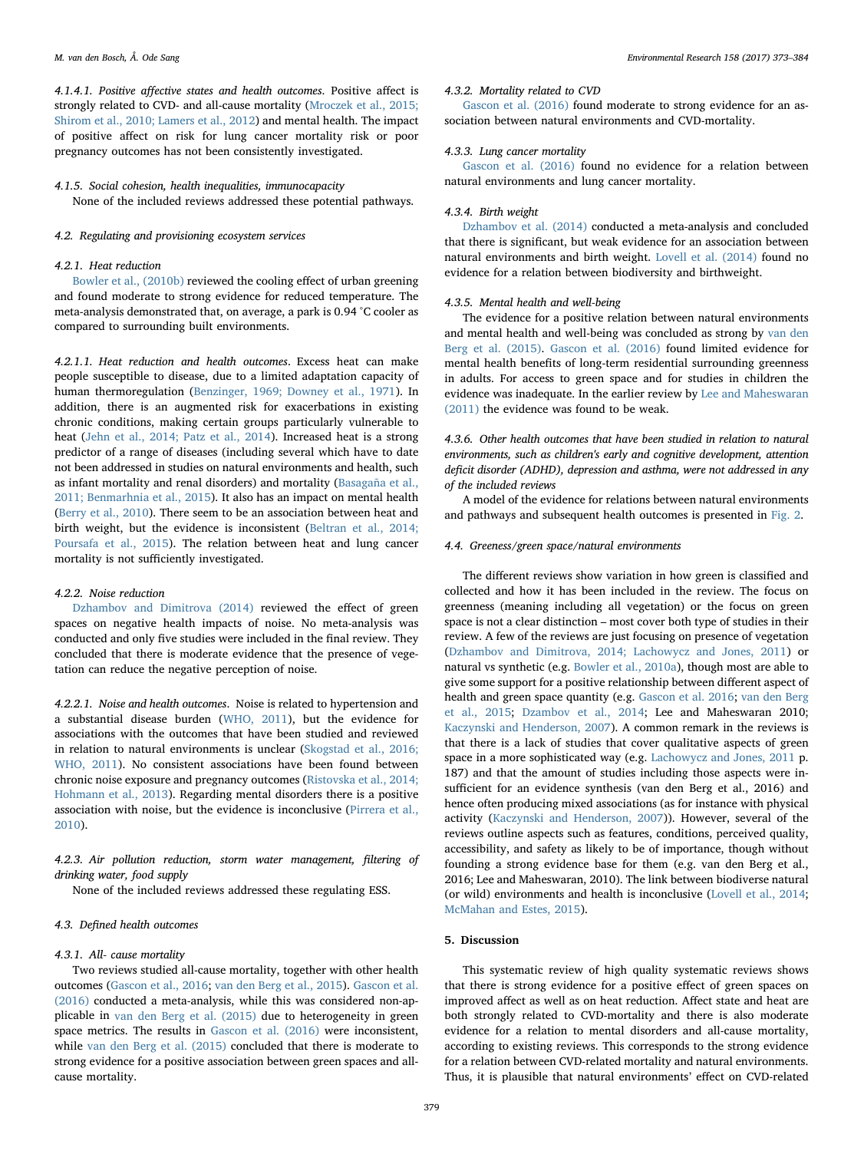4.1.4.1. Positive affective states and health outcomes. Positive affect is strongly related to CVD- and all-cause mortality [\(Mroczek et al., 2015;](#page-10-30) [Shirom et al., 2010; Lamers et al., 2012](#page-10-30)) and mental health. The impact of positive affect on risk for lung cancer mortality risk or poor pregnancy outcomes has not been consistently investigated.

## 4.1.5. Social cohesion, health inequalities, immunocapacity

None of the included reviews addressed these potential pathways.

## 4.2. Regulating and provisioning ecosystem services

## 4.2.1. Heat reduction

[Bowler et al., \(2010b\)](#page-9-10) reviewed the cooling effect of urban greening and found moderate to strong evidence for reduced temperature. The meta-analysis demonstrated that, on average, a park is 0.94 °C cooler as compared to surrounding built environments.

4.2.1.1. Heat reduction and health outcomes. Excess heat can make people susceptible to disease, due to a limited adaptation capacity of human thermoregulation ([Benzinger, 1969; Downey et al., 1971\)](#page-9-15). In addition, there is an augmented risk for exacerbations in existing chronic conditions, making certain groups particularly vulnerable to heat [\(Jehn et al., 2014; Patz et al., 2014\)](#page-10-31). Increased heat is a strong predictor of a range of diseases (including several which have to date not been addressed in studies on natural environments and health, such as infant mortality and renal disorders) and mortality [\(Basagaña et al.,](#page-9-16) [2011; Benmarhnia et al., 2015](#page-9-16)). It also has an impact on mental health ([Berry et al., 2010\)](#page-9-17). There seem to be an association between heat and birth weight, but the evidence is inconsistent ([Beltran et al., 2014;](#page-9-18) [Poursafa et al., 2015](#page-9-18)). The relation between heat and lung cancer mortality is not sufficiently investigated.

## 4.2.2. Noise reduction

[Dzhambov and Dimitrova \(2014\)](#page-10-18) reviewed the effect of green spaces on negative health impacts of noise. No meta-analysis was conducted and only five studies were included in the final review. They concluded that there is moderate evidence that the presence of vegetation can reduce the negative perception of noise.

4.2.2.1. Noise and health outcomes. Noise is related to hypertension and a substantial disease burden ([WHO, 2011](#page-11-3)), but the evidence for associations with the outcomes that have been studied and reviewed in relation to natural environments is unclear ([Skogstad et al., 2016;](#page-11-15) [WHO, 2011](#page-11-15)). No consistent associations have been found between chronic noise exposure and pregnancy outcomes ([Ristovska et al., 2014;](#page-11-16) [Hohmann et al., 2013](#page-11-16)). Regarding mental disorders there is a positive association with noise, but the evidence is inconclusive [\(Pirrera et al.,](#page-11-17) [2010\)](#page-11-17).

4.2.3. Air pollution reduction, storm water management, filtering of drinking water, food supply

None of the included reviews addressed these regulating ESS.

#### 4.3. Defined health outcomes

## 4.3.1. All- cause mortality

Two reviews studied all-cause mortality, together with other health outcomes [\(Gascon et al., 2016;](#page-10-16) [van den Berg et al., 2015](#page-11-10)). [Gascon et al.](#page-10-16) [\(2016\)](#page-10-16) conducted a meta-analysis, while this was considered non-applicable in [van den Berg et al. \(2015\)](#page-11-10) due to heterogeneity in green space metrics. The results in [Gascon et al. \(2016\)](#page-10-16) were inconsistent, while [van den Berg et al. \(2015\)](#page-11-10) concluded that there is moderate to strong evidence for a positive association between green spaces and allcause mortality.

## 4.3.2. Mortality related to CVD

[Gascon et al. \(2016\)](#page-10-16) found moderate to strong evidence for an association between natural environments and CVD-mortality.

#### 4.3.3. Lung cancer mortality

[Gascon et al. \(2016\)](#page-10-16) found no evidence for a relation between natural environments and lung cancer mortality.

## 4.3.4. Birth weight

[Dzhambov et al. \(2014\)](#page-10-19) conducted a meta-analysis and concluded that there is significant, but weak evidence for an association between natural environments and birth weight. [Lovell et al. \(2014\)](#page-10-20) found no evidence for a relation between biodiversity and birthweight.

## 4.3.5. Mental health and well-being

The evidence for a positive relation between natural environments and mental health and well-being was concluded as strong by [van den](#page-11-10) [Berg et al. \(2015\)](#page-11-10). [Gascon et al. \(2016\)](#page-10-16) found limited evidence for mental health benefits of long-term residential surrounding greenness in adults. For access to green space and for studies in children the evidence was inadequate. In the earlier review by [Lee and Maheswaran](#page-10-22) [\(2011\)](#page-10-22) the evidence was found to be weak.

4.3.6. Other health outcomes that have been studied in relation to natural environments, such as children's early and cognitive development, attention deficit disorder (ADHD), depression and asthma, were not addressed in any of the included reviews

A model of the evidence for relations between natural environments and pathways and subsequent health outcomes is presented in [Fig. 2](#page-7-0).

## 4.4. Greeness/green space/natural environments

The different reviews show variation in how green is classified and collected and how it has been included in the review. The focus on greenness (meaning including all vegetation) or the focus on green space is not a clear distinction – most cover both type of studies in their review. A few of the reviews are just focusing on presence of vegetation ([Dzhambov and Dimitrova, 2014; Lachowycz and Jones, 2011\)](#page-10-18) or natural vs synthetic (e.g. [Bowler et al., 2010a\)](#page-9-8), though most are able to give some support for a positive relationship between different aspect of health and green space quantity (e.g. [Gascon et al. 2016](#page-10-16); [van den Berg](#page-11-10) [et al., 2015;](#page-11-10) [Dzambov et al., 2014](#page-10-18); Lee and Maheswaran 2010; [Kaczynski and Henderson, 2007](#page-10-23)). A common remark in the reviews is that there is a lack of studies that cover qualitative aspects of green space in a more sophisticated way (e.g. [Lachowycz and Jones, 2011](#page-10-15) p. 187) and that the amount of studies including those aspects were insufficient for an evidence synthesis (van den Berg et al., 2016) and hence often producing mixed associations (as for instance with physical activity ([Kaczynski and Henderson, 2007\)](#page-10-23)). However, several of the reviews outline aspects such as features, conditions, perceived quality, accessibility, and safety as likely to be of importance, though without founding a strong evidence base for them (e.g. van den Berg et al., 2016; Lee and Maheswaran, 2010). The link between biodiverse natural (or wild) environments and health is inconclusive (Lovell [et al., 2014](#page-10-20); [McMahan and Estes, 2015](#page-10-21)).

## 5. Discussion

This systematic review of high quality systematic reviews shows that there is strong evidence for a positive effect of green spaces on improved affect as well as on heat reduction. Affect state and heat are both strongly related to CVD-mortality and there is also moderate evidence for a relation to mental disorders and all-cause mortality, according to existing reviews. This corresponds to the strong evidence for a relation between CVD-related mortality and natural environments. Thus, it is plausible that natural environments' effect on CVD-related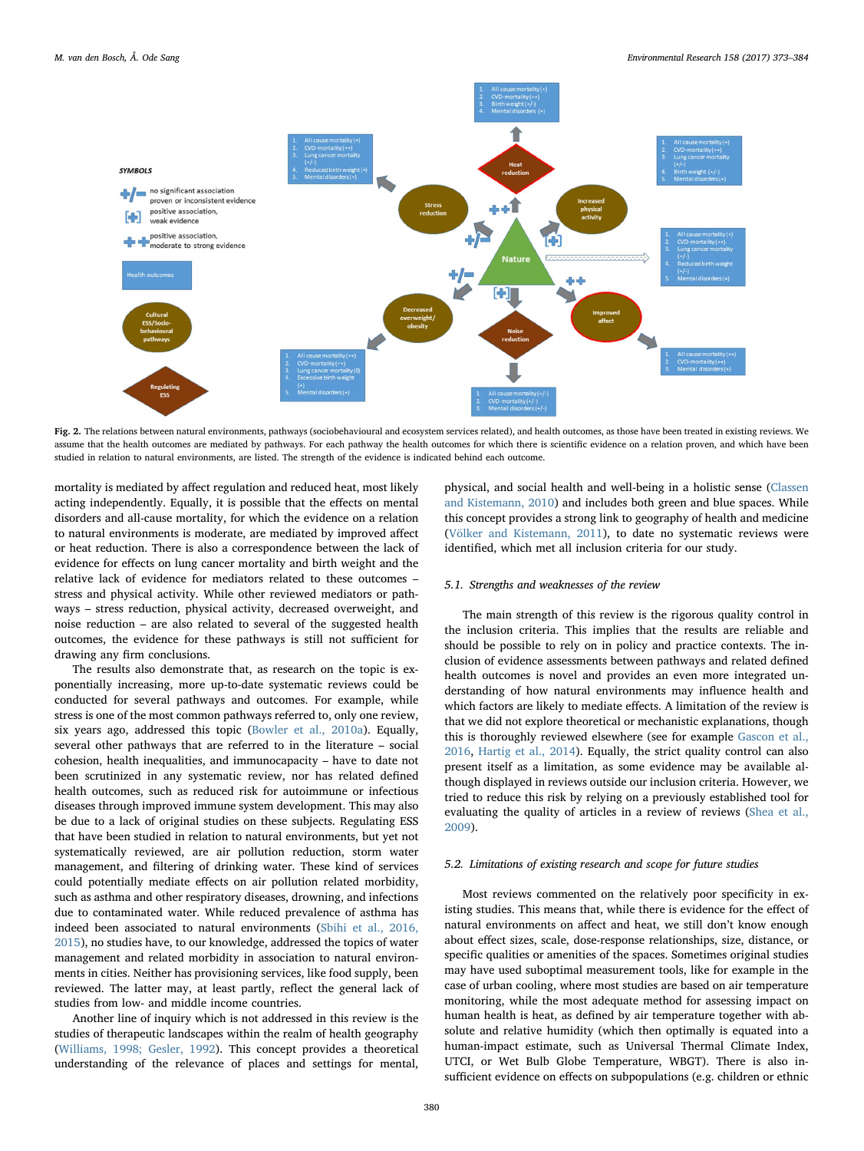<span id="page-7-0"></span>

Fig. 2. The relations between natural environments, pathways (sociobehavioural and ecosystem services related), and health outcomes, as those have been treated in existing reviews. We assume that the health outcomes are mediated by pathways. For each pathway the health outcomes for which there is scientific evidence on a relation proven, and which have been studied in relation to natural environments, are listed. The strength of the evidence is indicated behind each outcome.

mortality is mediated by affect regulation and reduced heat, most likely acting independently. Equally, it is possible that the effects on mental disorders and all-cause mortality, for which the evidence on a relation to natural environments is moderate, are mediated by improved affect or heat reduction. There is also a correspondence between the lack of evidence for effects on lung cancer mortality and birth weight and the relative lack of evidence for mediators related to these outcomes – stress and physical activity. While other reviewed mediators or pathways – stress reduction, physical activity, decreased overweight, and noise reduction – are also related to several of the suggested health outcomes, the evidence for these pathways is still not sufficient for drawing any firm conclusions.

The results also demonstrate that, as research on the topic is exponentially increasing, more up-to-date systematic reviews could be conducted for several pathways and outcomes. For example, while stress is one of the most common pathways referred to, only one review, six years ago, addressed this topic ([Bowler et al., 2010a](#page-9-8)). Equally, several other pathways that are referred to in the literature – social cohesion, health inequalities, and immunocapacity – have to date not been scrutinized in any systematic review, nor has related defined health outcomes, such as reduced risk for autoimmune or infectious diseases through improved immune system development. This may also be due to a lack of original studies on these subjects. Regulating ESS that have been studied in relation to natural environments, but yet not systematically reviewed, are air pollution reduction, storm water management, and filtering of drinking water. These kind of services could potentially mediate effects on air pollution related morbidity, such as asthma and other respiratory diseases, drowning, and infections due to contaminated water. While reduced prevalence of asthma has indeed been associated to natural environments [\(Sbihi et al., 2016,](#page-11-18) [2015\)](#page-11-18), no studies have, to our knowledge, addressed the topics of water management and related morbidity in association to natural environments in cities. Neither has provisioning services, like food supply, been reviewed. The latter may, at least partly, reflect the general lack of studies from low- and middle income countries.

Another line of inquiry which is not addressed in this review is the studies of therapeutic landscapes within the realm of health geography ([Williams, 1998; Gesler, 1992\)](#page-11-19). This concept provides a theoretical understanding of the relevance of places and settings for mental,

physical, and social health and well-being in a holistic sense [\(Classen](#page-10-32) [and Kistemann, 2010](#page-10-32)) and includes both green and blue spaces. While this concept provides a strong link to geography of health and medicine ([Völker and Kistemann, 2011\)](#page-11-20), to date no systematic reviews were identified, which met all inclusion criteria for our study.

## 5.1. Strengths and weaknesses of the review

The main strength of this review is the rigorous quality control in the inclusion criteria. This implies that the results are reliable and should be possible to rely on in policy and practice contexts. The inclusion of evidence assessments between pathways and related defined health outcomes is novel and provides an even more integrated understanding of how natural environments may influence health and which factors are likely to mediate effects. A limitation of the review is that we did not explore theoretical or mechanistic explanations, though this is thoroughly reviewed elsewhere (see for example [Gascon et al.,](#page-10-16) [2016,](#page-10-16) Hartig [et al., 2014\)](#page-10-12). Equally, the strict quality control can also present itself as a limitation, as some evidence may be available although displayed in reviews outside our inclusion criteria. However, we tried to reduce this risk by relying on a previously established tool for evaluating the quality of articles in a review of reviews ([Shea et al.,](#page-11-8) [2009\)](#page-11-8).

## 5.2. Limitations of existing research and scope for future studies

Most reviews commented on the relatively poor specificity in existing studies. This means that, while there is evidence for the effect of natural environments on affect and heat, we still don't know enough about effect sizes, scale, dose-response relationships, size, distance, or specific qualities or amenities of the spaces. Sometimes original studies may have used suboptimal measurement tools, like for example in the case of urban cooling, where most studies are based on air temperature monitoring, while the most adequate method for assessing impact on human health is heat, as defined by air temperature together with absolute and relative humidity (which then optimally is equated into a human-impact estimate, such as Universal Thermal Climate Index, UTCI, or Wet Bulb Globe Temperature, WBGT). There is also insufficient evidence on effects on subpopulations (e.g. children or ethnic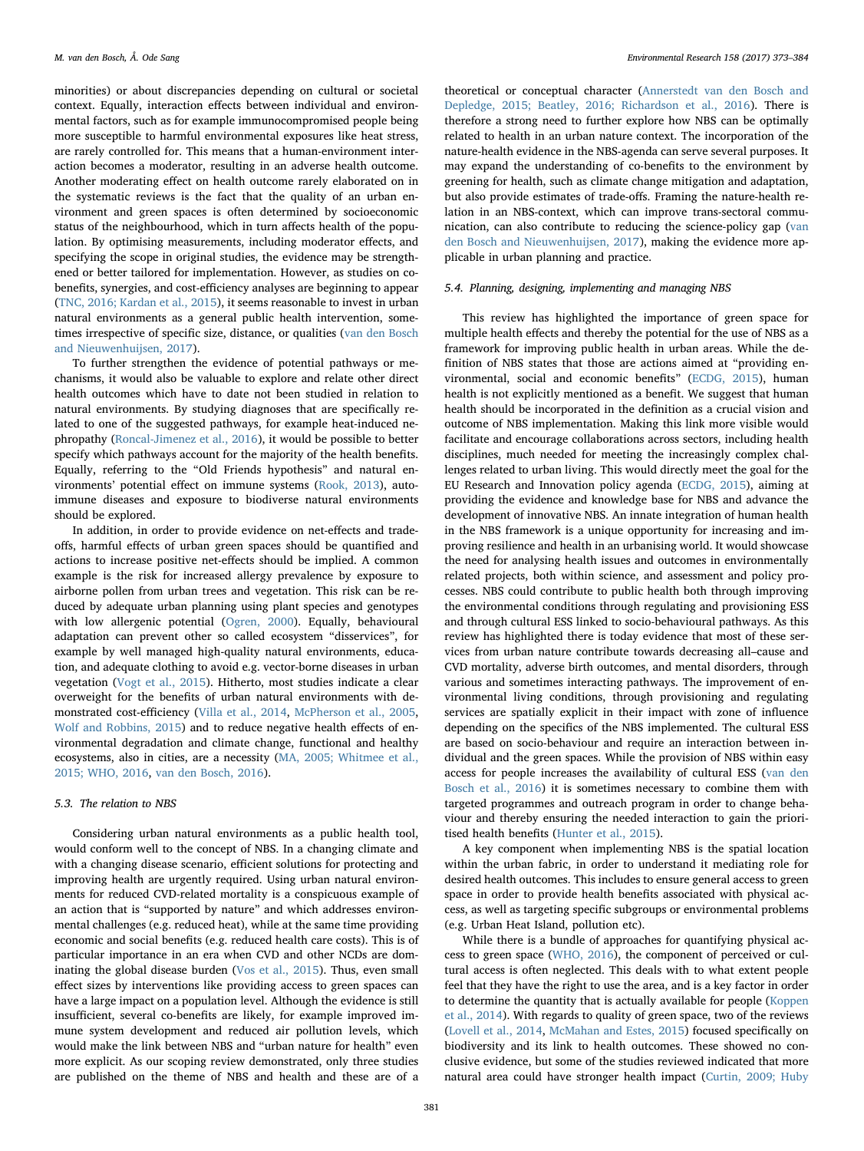minorities) or about discrepancies depending on cultural or societal context. Equally, interaction effects between individual and environmental factors, such as for example immunocompromised people being more susceptible to harmful environmental exposures like heat stress, are rarely controlled for. This means that a human-environment interaction becomes a moderator, resulting in an adverse health outcome. Another moderating effect on health outcome rarely elaborated on in the systematic reviews is the fact that the quality of an urban environment and green spaces is often determined by socioeconomic status of the neighbourhood, which in turn affects health of the population. By optimising measurements, including moderator effects, and specifying the scope in original studies, the evidence may be strengthened or better tailored for implementation. However, as studies on cobenefits, synergies, and cost-efficiency analyses are beginning to appear ([TNC, 2016; Kardan et al., 2015\)](#page-11-21), it seems reasonable to invest in urban natural environments as a general public health intervention, some-times irrespective of specific size, distance, or qualities [\(van den Bosch](#page-11-22) [and Nieuwenhuijsen, 2017\)](#page-11-22).

To further strengthen the evidence of potential pathways or mechanisms, it would also be valuable to explore and relate other direct health outcomes which have to date not been studied in relation to natural environments. By studying diagnoses that are specifically related to one of the suggested pathways, for example heat-induced nephropathy [\(Roncal-Jimenez et al., 2016\)](#page-11-23), it would be possible to better specify which pathways account for the majority of the health benefits. Equally, referring to the "Old Friends hypothesis" and natural environments' potential effect on immune systems ([Rook, 2013\)](#page-11-6), autoimmune diseases and exposure to biodiverse natural environments should be explored.

In addition, in order to provide evidence on net-effects and tradeoffs, harmful effects of urban green spaces should be quantified and actions to increase positive net-effects should be implied. A common example is the risk for increased allergy prevalence by exposure to airborne pollen from urban trees and vegetation. This risk can be reduced by adequate urban planning using plant species and genotypes with low allergenic potential ([Ogren, 2000\)](#page-10-33). Equally, behavioural adaptation can prevent other so called ecosystem "disservices", for example by well managed high-quality natural environments, education, and adequate clothing to avoid e.g. vector-borne diseases in urban vegetation ([Vogt et al., 2015](#page-11-24)). Hitherto, most studies indicate a clear overweight for the benefits of urban natural environments with demonstrated cost-efficiency ([Villa et al., 2014,](#page-11-25) [McPherson et al., 2005](#page-10-34), [Wolf and Robbins, 2015](#page-11-26)) and to reduce negative health effects of environmental degradation and climate change, functional and healthy ecosystems, also in cities, are a necessity [\(MA, 2005; Whitmee et al.,](#page-10-35) [2015; WHO, 2016](#page-10-35), [van den Bosch, 2016\)](#page-11-2).

#### 5.3. The relation to NBS

Considering urban natural environments as a public health tool, would conform well to the concept of NBS. In a changing climate and with a changing disease scenario, efficient solutions for protecting and improving health are urgently required. Using urban natural environments for reduced CVD-related mortality is a conspicuous example of an action that is "supported by nature" and which addresses environmental challenges (e.g. reduced heat), while at the same time providing economic and social benefits (e.g. reduced health care costs). This is of particular importance in an era when CVD and other NCDs are dominating the global disease burden [\(Vos et al., 2015](#page-11-0)). Thus, even small effect sizes by interventions like providing access to green spaces can have a large impact on a population level. Although the evidence is still insufficient, several co-benefits are likely, for example improved immune system development and reduced air pollution levels, which would make the link between NBS and "urban nature for health" even more explicit. As our scoping review demonstrated, only three studies are published on the theme of NBS and health and these are of a

theoretical or conceptual character ([Annerstedt van den Bosch and](#page-9-3) [Depledge, 2015; Beatley, 2016; Richardson et al., 2016](#page-9-3)). There is therefore a strong need to further explore how NBS can be optimally related to health in an urban nature context. The incorporation of the nature-health evidence in the NBS-agenda can serve several purposes. It may expand the understanding of co-benefits to the environment by greening for health, such as climate change mitigation and adaptation, but also provide estimates of trade-offs. Framing the nature-health relation in an NBS-context, which can improve trans-sectoral communication, can also contribute to reducing the science-policy gap ([van](#page-11-22) [den Bosch and Nieuwenhuijsen, 2017](#page-11-22)), making the evidence more applicable in urban planning and practice.

## 5.4. Planning, designing, implementing and managing NBS

This review has highlighted the importance of green space for multiple health effects and thereby the potential for the use of NBS as a framework for improving public health in urban areas. While the definition of NBS states that those are actions aimed at "providing environmental, social and economic benefits" [\(ECDG, 2015](#page-10-2)), human health is not explicitly mentioned as a benefit. We suggest that human health should be incorporated in the definition as a crucial vision and outcome of NBS implementation. Making this link more visible would facilitate and encourage collaborations across sectors, including health disciplines, much needed for meeting the increasingly complex challenges related to urban living. This would directly meet the goal for the EU Research and Innovation policy agenda [\(ECDG, 2015](#page-10-2)), aiming at providing the evidence and knowledge base for NBS and advance the development of innovative NBS. An innate integration of human health in the NBS framework is a unique opportunity for increasing and improving resilience and health in an urbanising world. It would showcase the need for analysing health issues and outcomes in environmentally related projects, both within science, and assessment and policy processes. NBS could contribute to public health both through improving the environmental conditions through regulating and provisioning ESS and through cultural ESS linked to socio-behavioural pathways. As this review has highlighted there is today evidence that most of these services from urban nature contribute towards decreasing all–cause and CVD mortality, adverse birth outcomes, and mental disorders, through various and sometimes interacting pathways. The improvement of environmental living conditions, through provisioning and regulating services are spatially explicit in their impact with zone of influence depending on the specifics of the NBS implemented. The cultural ESS are based on socio-behaviour and require an interaction between individual and the green spaces. While the provision of NBS within easy access for people increases the availability of cultural ESS [\(van den](#page-11-27) [Bosch et al., 2016](#page-11-27)) it is sometimes necessary to combine them with targeted programmes and outreach program in order to change behaviour and thereby ensuring the needed interaction to gain the prioritised health benefits [\(Hunter et al., 2015](#page-10-36)).

A key component when implementing NBS is the spatial location within the urban fabric, in order to understand it mediating role for desired health outcomes. This includes to ensure general access to green space in order to provide health benefits associated with physical access, as well as targeting specific subgroups or environmental problems (e.g. Urban Heat Island, pollution etc).

While there is a bundle of approaches for quantifying physical access to green space ([WHO, 2016](#page-11-28)), the component of perceived or cultural access is often neglected. This deals with to what extent people feel that they have the right to use the area, and is a key factor in order to determine the quantity that is actually available for people ([Koppen](#page-10-37) [et al., 2014\)](#page-10-37). With regards to quality of green space, two of the reviews ([Lovell et al., 2014](#page-10-20), [McMahan and Estes, 2015](#page-10-21)) focused specifically on biodiversity and its link to health outcomes. These showed no conclusive evidence, but some of the studies reviewed indicated that more natural area could have stronger health impact ([Curtin, 2009; Huby](#page-10-38)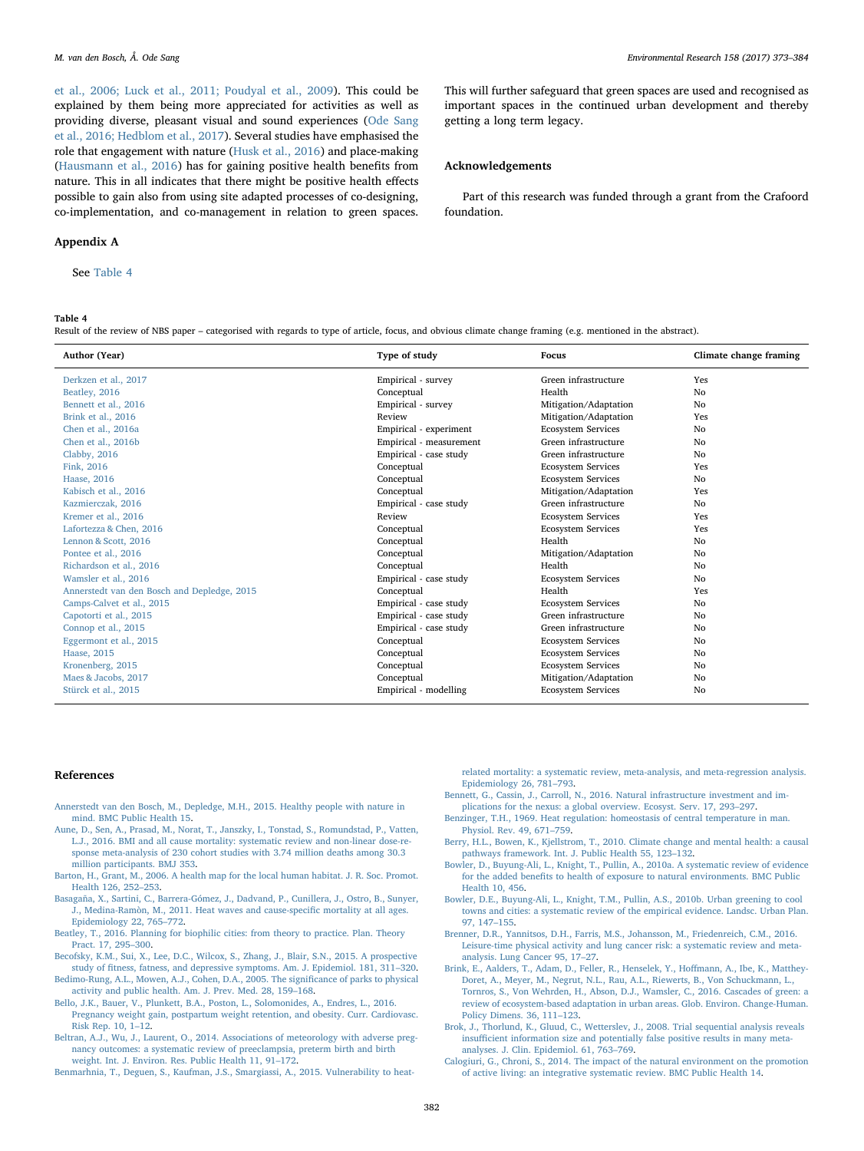[et al., 2006; Luck et al., 2011; Poudyal et al., 2009\)](#page-10-38). This could be explained by them being more appreciated for activities as well as providing diverse, pleasant visual and sound experiences ([Ode Sang](#page-10-39) [et al., 2016; Hedblom et al., 2017\)](#page-10-39). Several studies have emphasised the role that engagement with nature ([Husk et al., 2016\)](#page-10-40) and place-making ([Hausmann et al., 2016\)](#page-10-41) has for gaining positive health benefits from nature. This in all indicates that there might be positive health effects possible to gain also from using site adapted processes of co-designing, co-implementation, and co-management in relation to green spaces.

## <span id="page-9-0"></span>Appendix A

See [Table 4](#page-9-19)

<span id="page-9-19"></span>Table 4

Acknowledgements

getting a long term legacy.

Part of this research was funded through a grant from the Crafoord foundation.

This will further safeguard that green spaces are used and recognised as important spaces in the continued urban development and thereby

Result of the review of NBS paper – categorised with regards to type of article, focus, and obvious climate change framing (e.g. mentioned in the abstract).

| Author (Year)                               | Type of study           | <b>Focus</b>              | Climate change framing |
|---------------------------------------------|-------------------------|---------------------------|------------------------|
| Derkzen et al., 2017                        | Empirical - survey      | Green infrastructure      | Yes                    |
| Beatley, 2016                               | Conceptual              | Health                    | No                     |
| Bennett et al., 2016                        | Empirical - survey      | Mitigation/Adaptation     | No                     |
| Brink et al., 2016                          | Review                  | Mitigation/Adaptation     | Yes                    |
| Chen et al., 2016a                          | Empirical - experiment  | <b>Ecosystem Services</b> | No                     |
| Chen et al., 2016b                          | Empirical - measurement | Green infrastructure      | No                     |
| Clabby, 2016                                | Empirical - case study  | Green infrastructure      | No                     |
| Fink, 2016                                  | Conceptual              | <b>Ecosystem Services</b> | Yes                    |
| Haase, 2016                                 | Conceptual              | <b>Ecosystem Services</b> | No                     |
| Kabisch et al., 2016                        | Conceptual              | Mitigation/Adaptation     | Yes                    |
| Kazmierczak, 2016                           | Empirical - case study  | Green infrastructure      | No                     |
| Kremer et al., 2016                         | Review                  | <b>Ecosystem Services</b> | Yes                    |
| Lafortezza & Chen. 2016                     | Conceptual              | <b>Ecosystem Services</b> | Yes                    |
| Lennon & Scott, 2016                        | Conceptual              | Health                    | No                     |
| Pontee et al., 2016                         | Conceptual              | Mitigation/Adaptation     | No                     |
| Richardson et al., 2016                     | Conceptual              | Health                    | No                     |
| Wamsler et al., 2016                        | Empirical - case study  | <b>Ecosystem Services</b> | No                     |
| Annerstedt van den Bosch and Depledge, 2015 | Conceptual              | Health                    | Yes                    |
| Camps-Calvet et al., 2015                   | Empirical - case study  | <b>Ecosystem Services</b> | No                     |
| Capotorti et al., 2015                      | Empirical - case study  | Green infrastructure      | No                     |
| Connop et al., 2015                         | Empirical - case study  | Green infrastructure      | No                     |
| Eggermont et al., 2015                      | Conceptual              | <b>Ecosystem Services</b> | No                     |
| Haase, 2015                                 | Conceptual              | <b>Ecosystem Services</b> | No                     |
| Kronenberg, 2015                            | Conceptual              | <b>Ecosystem Services</b> | No                     |
| Maes & Jacobs, 2017                         | Conceptual              | Mitigation/Adaptation     | No                     |
| Stürck et al., 2015                         | Empirical - modelling   | <b>Ecosystem Services</b> | No                     |

## References

- <span id="page-9-3"></span>[Annerstedt van den Bosch, M., Depledge, M.H., 2015. Healthy people with nature in](http://refhub.elsevier.com/S0013-9351(17)31024-1/sbref1) [mind. BMC Public Health 15.](http://refhub.elsevier.com/S0013-9351(17)31024-1/sbref1)
- <span id="page-9-12"></span>[Aune, D., Sen, A., Prasad, M., Norat, T., Janszky, I., Tonstad, S., Romundstad, P., Vatten,](http://refhub.elsevier.com/S0013-9351(17)31024-1/sbref2) [L.J., 2016. BMI and all cause mortality: systematic review and non-linear dose-re](http://refhub.elsevier.com/S0013-9351(17)31024-1/sbref2)[sponse meta-analysis of 230 cohort studies with 3.74 million deaths among 30.3](http://refhub.elsevier.com/S0013-9351(17)31024-1/sbref2) [million participants. BMJ 353.](http://refhub.elsevier.com/S0013-9351(17)31024-1/sbref2)
- <span id="page-9-5"></span>[Barton, H., Grant, M., 2006. A health map for the local human habitat. J. R. Soc. Promot.](http://refhub.elsevier.com/S0013-9351(17)31024-1/sbref3) [Health 126, 252](http://refhub.elsevier.com/S0013-9351(17)31024-1/sbref3)–253.
- <span id="page-9-16"></span>[Basagaña, X., Sartini, C., Barrera-Gómez, J., Dadvand, P., Cunillera, J., Ostro, B., Sunyer,](http://refhub.elsevier.com/S0013-9351(17)31024-1/sbref4) [J., Medina-Ramòn, M., 2011. Heat waves and cause-speci](http://refhub.elsevier.com/S0013-9351(17)31024-1/sbref4)fic mortality at all ages. [Epidemiology 22, 765](http://refhub.elsevier.com/S0013-9351(17)31024-1/sbref4)–772.
- <span id="page-9-4"></span>[Beatley, T., 2016. Planning for biophilic cities: from theory to practice. Plan. Theory](http://refhub.elsevier.com/S0013-9351(17)31024-1/sbref5) [Pract. 17, 295](http://refhub.elsevier.com/S0013-9351(17)31024-1/sbref5)–300.
- <span id="page-9-13"></span>[Becofsky, K.M., Sui, X., Lee, D.C., Wilcox, S., Zhang, J., Blair, S.N., 2015. A prospective](http://refhub.elsevier.com/S0013-9351(17)31024-1/sbref6) study of fi[tness, fatness, and depressive symptoms. Am. J. Epidemiol. 181, 311](http://refhub.elsevier.com/S0013-9351(17)31024-1/sbref6)–320. [Bedimo-Rung, A.L., Mowen, A.J., Cohen, D.A., 2005. The signi](http://refhub.elsevier.com/S0013-9351(17)31024-1/sbref7)ficance of parks to physical
- <span id="page-9-6"></span>[activity and public health. Am. J. Prev. Med. 28, 159](http://refhub.elsevier.com/S0013-9351(17)31024-1/sbref7)–168. [Bello, J.K., Bauer, V., Plunkett, B.A., Poston, L., Solomonides, A., Endres, L., 2016.](http://refhub.elsevier.com/S0013-9351(17)31024-1/sbref8)
- <span id="page-9-14"></span>[Pregnancy weight gain, postpartum weight retention, and obesity. Curr. Cardiovasc.](http://refhub.elsevier.com/S0013-9351(17)31024-1/sbref8) [Risk Rep. 10, 1](http://refhub.elsevier.com/S0013-9351(17)31024-1/sbref8)–12.
- <span id="page-9-18"></span>[Beltran, A.J., Wu, J., Laurent, O., 2014. Associations of meteorology with adverse preg](http://refhub.elsevier.com/S0013-9351(17)31024-1/sbref9)[nancy outcomes: a systematic review of preeclampsia, preterm birth and birth](http://refhub.elsevier.com/S0013-9351(17)31024-1/sbref9) [weight. Int. J. Environ. Res. Public Health 11, 91](http://refhub.elsevier.com/S0013-9351(17)31024-1/sbref9)–172.

[Benmarhnia, T., Deguen, S., Kaufman, J.S., Smargiassi, A., 2015. Vulnerability to heat-](http://refhub.elsevier.com/S0013-9351(17)31024-1/sbref10)

[related mortality: a systematic review, meta-analysis, and meta-regression analysis.](http://refhub.elsevier.com/S0013-9351(17)31024-1/sbref10) [Epidemiology 26, 781](http://refhub.elsevier.com/S0013-9351(17)31024-1/sbref10)–793.

- <span id="page-9-1"></span>[Bennett, G., Cassin, J., Carroll, N., 2016. Natural infrastructure investment and im](http://refhub.elsevier.com/S0013-9351(17)31024-1/sbref11)[plications for the nexus: a global overview. Ecosyst. Serv. 17, 293](http://refhub.elsevier.com/S0013-9351(17)31024-1/sbref11)–297.
- <span id="page-9-15"></span>[Benzinger, T.H., 1969. Heat regulation: homeostasis of central temperature in man.](http://refhub.elsevier.com/S0013-9351(17)31024-1/sbref12) [Physiol. Rev. 49, 671](http://refhub.elsevier.com/S0013-9351(17)31024-1/sbref12)–759.
- <span id="page-9-17"></span>[Berry, H.L., Bowen, K., Kjellstrom, T., 2010. Climate change and mental health: a causal](http://refhub.elsevier.com/S0013-9351(17)31024-1/sbref13) [pathways framework. Int. J. Public Health 55, 123](http://refhub.elsevier.com/S0013-9351(17)31024-1/sbref13)–132.
- <span id="page-9-8"></span>[Bowler, D., Buyung-Ali, L., Knight, T., Pullin, A., 2010a. A systematic review of evidence](http://refhub.elsevier.com/S0013-9351(17)31024-1/sbref14) for the added benefi[ts to health of exposure to natural environments. BMC Public](http://refhub.elsevier.com/S0013-9351(17)31024-1/sbref14) [Health 10, 456](http://refhub.elsevier.com/S0013-9351(17)31024-1/sbref14).
- <span id="page-9-10"></span>[Bowler, D.E., Buyung-Ali, L., Knight, T.M., Pullin, A.S., 2010b. Urban greening to cool](http://refhub.elsevier.com/S0013-9351(17)31024-1/sbref15) [towns and cities: a systematic review of the empirical evidence. Landsc. Urban Plan.](http://refhub.elsevier.com/S0013-9351(17)31024-1/sbref15) [97, 147](http://refhub.elsevier.com/S0013-9351(17)31024-1/sbref15)–155.
- <span id="page-9-11"></span>[Brenner, D.R., Yannitsos, D.H., Farris, M.S., Johansson, M., Friedenreich, C.M., 2016.](http://refhub.elsevier.com/S0013-9351(17)31024-1/sbref16) [Leisure-time physical activity and lung cancer risk: a systematic review and meta](http://refhub.elsevier.com/S0013-9351(17)31024-1/sbref16)[analysis. Lung Cancer 95, 17](http://refhub.elsevier.com/S0013-9351(17)31024-1/sbref16)–27.
- <span id="page-9-2"></span>[Brink, E., Aalders, T., Adam, D., Feller, R., Henselek, Y., Ho](http://refhub.elsevier.com/S0013-9351(17)31024-1/sbref17)ffmann, A., Ibe, K., Matthey-[Doret, A., Meyer, M., Negrut, N.L., Rau, A.L., Riewerts, B., Von Schuckmann, L.,](http://refhub.elsevier.com/S0013-9351(17)31024-1/sbref17) [Tornros, S., Von Wehrden, H., Abson, D.J., Wamsler, C., 2016. Cascades of green: a](http://refhub.elsevier.com/S0013-9351(17)31024-1/sbref17) [review of ecosystem-based adaptation in urban areas. Glob. Environ. Change-Human.](http://refhub.elsevier.com/S0013-9351(17)31024-1/sbref17) [Policy Dimens. 36, 111](http://refhub.elsevier.com/S0013-9351(17)31024-1/sbref17)–123.
- <span id="page-9-9"></span>[Brok, J., Thorlund, K., Gluud, C., Wetterslev, J., 2008. Trial sequential analysis reveals](http://refhub.elsevier.com/S0013-9351(17)31024-1/sbref18) insufficient [information size and potentially false positive results in many meta](http://refhub.elsevier.com/S0013-9351(17)31024-1/sbref18)[analyses. J. Clin. Epidemiol. 61, 763](http://refhub.elsevier.com/S0013-9351(17)31024-1/sbref18)–769.
- <span id="page-9-7"></span>[Calogiuri, G., Chroni, S., 2014. The impact of the natural environment on the promotion](http://refhub.elsevier.com/S0013-9351(17)31024-1/sbref19) [of active living: an integrative systematic review. BMC Public Health 14.](http://refhub.elsevier.com/S0013-9351(17)31024-1/sbref19)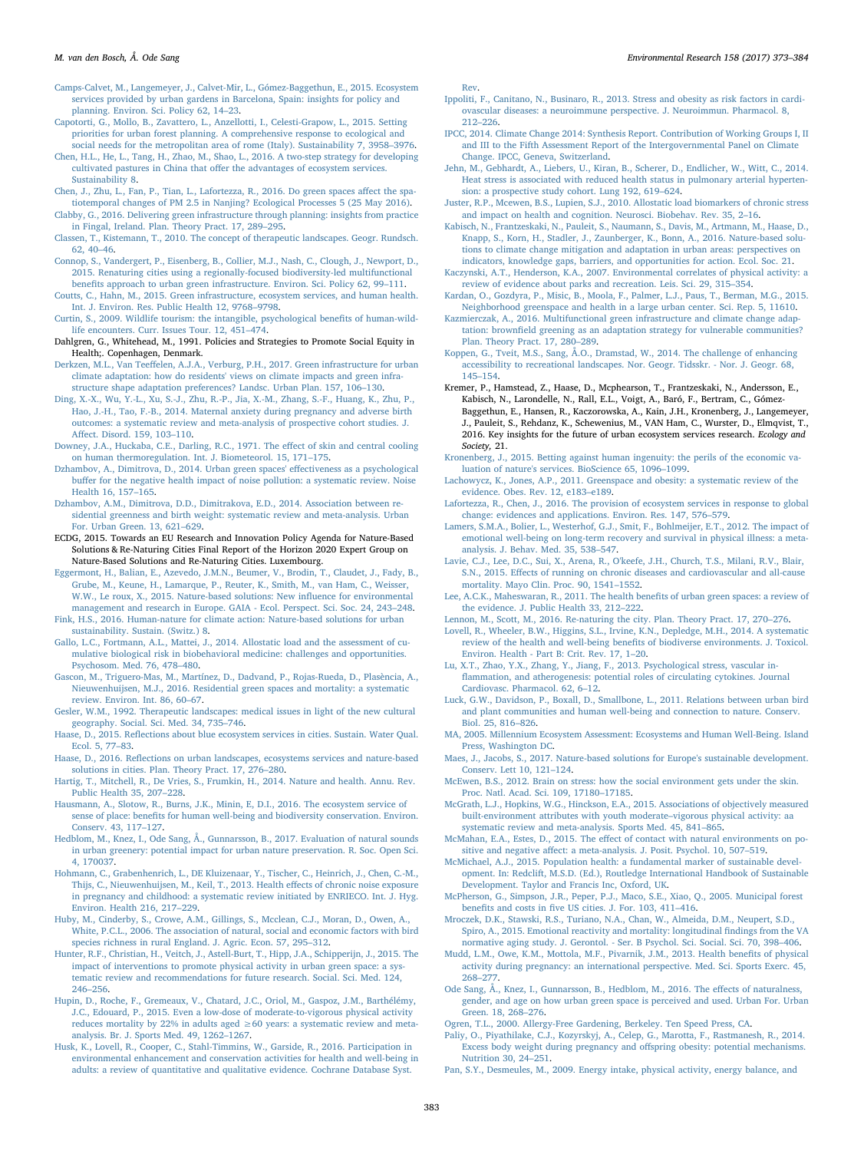<span id="page-10-44"></span>[Camps-Calvet, M., Langemeyer, J., Calvet-Mir, L., Gómez-Baggethun, E., 2015. Ecosystem](http://refhub.elsevier.com/S0013-9351(17)31024-1/sbref20) [services provided by urban gardens in Barcelona, Spain: insights for policy and](http://refhub.elsevier.com/S0013-9351(17)31024-1/sbref20) [planning. Environ. Sci. Policy 62, 14](http://refhub.elsevier.com/S0013-9351(17)31024-1/sbref20)–23.

<span id="page-10-45"></span>[Capotorti, G., Mollo, B., Zavattero, L., Anzellotti, I., Celesti-Grapow, L., 2015. Setting](http://refhub.elsevier.com/S0013-9351(17)31024-1/sbref21) [priorities for urban forest planning. A comprehensive response to ecological and](http://refhub.elsevier.com/S0013-9351(17)31024-1/sbref21) [social needs for the metropolitan area of rome \(Italy\). Sustainability 7, 3958](http://refhub.elsevier.com/S0013-9351(17)31024-1/sbref21)–3976.

- <span id="page-10-3"></span>[Chen, H.L., He, L., Tang, H., Zhao, M., Shao, L., 2016. A two-step strategy for developing](http://refhub.elsevier.com/S0013-9351(17)31024-1/sbref22) cultivated pastures in China that off[er the advantages of ecosystem services.](http://refhub.elsevier.com/S0013-9351(17)31024-1/sbref22) [Sustainability 8.](http://refhub.elsevier.com/S0013-9351(17)31024-1/sbref22)
- <span id="page-10-8"></span>[Chen, J., Zhu, L., Fan, P., Tian, L., Lafortezza, R., 2016. Do green spaces a](http://refhub.elsevier.com/S0013-9351(17)31024-1/sbref23)ffect the spa[tiotemporal changes of PM 2.5 in Nanjing? Ecological Processes 5 \(25 May 2016\).](http://refhub.elsevier.com/S0013-9351(17)31024-1/sbref23)
- <span id="page-10-4"></span>[Clabby, G., 2016. Delivering green infrastructure through planning: insights from practice](http://refhub.elsevier.com/S0013-9351(17)31024-1/sbref24) [in Fingal, Ireland. Plan. Theory Pract. 17, 289](http://refhub.elsevier.com/S0013-9351(17)31024-1/sbref24)–295.
- <span id="page-10-32"></span>[Classen, T., Kistemann, T., 2010. The concept of therapeutic landscapes. Geogr. Rundsch.](http://refhub.elsevier.com/S0013-9351(17)31024-1/sbref25) [62, 40](http://refhub.elsevier.com/S0013-9351(17)31024-1/sbref25)–46.
- <span id="page-10-46"></span>[Connop, S., Vandergert, P., Eisenberg, B., Collier, M.J., Nash, C., Clough, J., Newport, D.,](http://refhub.elsevier.com/S0013-9351(17)31024-1/sbref26) [2015. Renaturing cities using a regionally-focused biodiversity-led multifunctional](http://refhub.elsevier.com/S0013-9351(17)31024-1/sbref26) benefi[ts approach to urban green infrastructure. Environ. Sci. Policy 62, 99](http://refhub.elsevier.com/S0013-9351(17)31024-1/sbref26)–111.
- <span id="page-10-14"></span>[Coutts, C., Hahn, M., 2015. Green infrastructure, ecosystem services, and human health.](http://refhub.elsevier.com/S0013-9351(17)31024-1/sbref27) [Int. J. Environ. Res. Public Health 12, 9768](http://refhub.elsevier.com/S0013-9351(17)31024-1/sbref27)–9798.

<span id="page-10-38"></span>[Curtin, S., 2009. Wildlife tourism: the intangible, psychological bene](http://refhub.elsevier.com/S0013-9351(17)31024-1/sbref28)fits of human-wild[life encounters. Curr. Issues Tour. 12, 451](http://refhub.elsevier.com/S0013-9351(17)31024-1/sbref28)–474.

- <span id="page-10-13"></span>Dahlgren, G., Whitehead, M., 1991. Policies and Strategies to Promote Social Equity in Health;. Copenhagen, Denmark.
- <span id="page-10-5"></span>Derkzen, M.L., Van Teeff[elen, A.J.A., Verburg, P.H., 2017. Green infrastructure for urban](http://refhub.elsevier.com/S0013-9351(17)31024-1/sbref29) [climate adaptation: how do residents' views on climate impacts and green infra](http://refhub.elsevier.com/S0013-9351(17)31024-1/sbref29)[structure shape adaptation preferences? Landsc. Urban Plan. 157, 106](http://refhub.elsevier.com/S0013-9351(17)31024-1/sbref29)–130.
- <span id="page-10-27"></span>[Ding, X.-X., Wu, Y.-L., Xu, S.-J., Zhu, R.-P., Jia, X.-M., Zhang, S.-F., Huang, K., Zhu, P.,](http://refhub.elsevier.com/S0013-9351(17)31024-1/sbref30) [Hao, J.-H., Tao, F.-B., 2014. Maternal anxiety during pregnancy and adverse birth](http://refhub.elsevier.com/S0013-9351(17)31024-1/sbref30) [outcomes: a systematic review and meta-analysis of prospective cohort studies. J.](http://refhub.elsevier.com/S0013-9351(17)31024-1/sbref30) Aff[ect. Disord. 159, 103](http://refhub.elsevier.com/S0013-9351(17)31024-1/sbref30)–110.
- [Downey, J.A., Huckaba, C.E., Darling, R.C., 1971. The e](http://refhub.elsevier.com/S0013-9351(17)31024-1/sbref31)ffect of skin and central cooling [on human thermoregulation. Int. J. Biometeorol. 15, 171](http://refhub.elsevier.com/S0013-9351(17)31024-1/sbref31)–175.
- <span id="page-10-18"></span>[Dzhambov, A., Dimitrova, D., 2014. Urban green spaces' e](http://refhub.elsevier.com/S0013-9351(17)31024-1/sbref32)ffectiveness as a psychological buff[er for the negative health impact of noise pollution: a systematic review. Noise](http://refhub.elsevier.com/S0013-9351(17)31024-1/sbref32) [Health 16, 157](http://refhub.elsevier.com/S0013-9351(17)31024-1/sbref32)–165.
- <span id="page-10-19"></span>[Dzhambov, A.M., Dimitrova, D.D., Dimitrakova, E.D., 2014. Association between re](http://refhub.elsevier.com/S0013-9351(17)31024-1/sbref33)[sidential greenness and birth weight: systematic review and meta-analysis. Urban](http://refhub.elsevier.com/S0013-9351(17)31024-1/sbref33) [For. Urban Green. 13, 621](http://refhub.elsevier.com/S0013-9351(17)31024-1/sbref33)–629.
- <span id="page-10-2"></span>ECDG, 2015. Towards an EU Research and Innovation Policy Agenda for Nature-Based Solutions & Re-Naturing Cities Final Report of the Horizon 2020 Expert Group on Nature-Based Solutions and Re-Naturing Cities. Luxembourg.
- <span id="page-10-47"></span>[Eggermont, H., Balian, E., Azevedo, J.M.N., Beumer, V., Brodin, T., Claudet, J., Fady, B.,](http://refhub.elsevier.com/S0013-9351(17)31024-1/sbref34) [Grube, M., Keune, H., Lamarque, P., Reuter, K., Smith, M., van Ham, C., Weisser,](http://refhub.elsevier.com/S0013-9351(17)31024-1/sbref34) [W.W., Le roux, X., 2015. Nature-based solutions: New in](http://refhub.elsevier.com/S0013-9351(17)31024-1/sbref34)fluence for environmental [management and research in Europe. GAIA - Ecol. Perspect. Sci. Soc. 24, 243](http://refhub.elsevier.com/S0013-9351(17)31024-1/sbref34)–248.
- <span id="page-10-9"></span>Fink, [H.S., 2016. Human-nature for climate action: Nature-based solutions for urban](http://refhub.elsevier.com/S0013-9351(17)31024-1/sbref35) [sustainability. Sustain. \(Switz.\) 8](http://refhub.elsevier.com/S0013-9351(17)31024-1/sbref35).
- [Gallo, L.C., Fortmann, A.L., Mattei, J., 2014. Allostatic load and the assessment of cu](http://refhub.elsevier.com/S0013-9351(17)31024-1/sbref36)[mulative biological risk in biobehavioral medicine: challenges and opportunities.](http://refhub.elsevier.com/S0013-9351(17)31024-1/sbref36) [Psychosom. Med. 76, 478](http://refhub.elsevier.com/S0013-9351(17)31024-1/sbref36)–480.
- <span id="page-10-16"></span>[Gascon, M., Triguero-Mas, M., Martínez, D., Dadvand, P., Rojas-Rueda, D., Plasència, A.,](http://refhub.elsevier.com/S0013-9351(17)31024-1/sbref37) [Nieuwenhuijsen, M.J., 2016. Residential green spaces and mortality: a systematic](http://refhub.elsevier.com/S0013-9351(17)31024-1/sbref37) [review. Environ. Int. 86, 60](http://refhub.elsevier.com/S0013-9351(17)31024-1/sbref37)–67.
- [Gesler, W.M., 1992. Therapeutic landscapes: medical issues in light of the new cultural](http://refhub.elsevier.com/S0013-9351(17)31024-1/sbref38) [geography. Social. Sci. Med. 34, 735](http://refhub.elsevier.com/S0013-9351(17)31024-1/sbref38)–746.
- <span id="page-10-48"></span>Haase, D., 2015. Refl[ections about blue ecosystem services in cities. Sustain. Water Qual.](http://refhub.elsevier.com/S0013-9351(17)31024-1/sbref39) [Ecol. 5, 77](http://refhub.elsevier.com/S0013-9351(17)31024-1/sbref39)–83.
- <span id="page-10-10"></span>Haase, D., 2016. Refl[ections on urban landscapes, ecosystems services and nature-based](http://refhub.elsevier.com/S0013-9351(17)31024-1/sbref40) [solutions in cities. Plan. Theory Pract. 17, 276](http://refhub.elsevier.com/S0013-9351(17)31024-1/sbref40)–280.
- <span id="page-10-12"></span>[Hartig, T., Mitchell, R., De Vries, S., Frumkin, H., 2014. Nature and health. Annu. Rev.](http://refhub.elsevier.com/S0013-9351(17)31024-1/sbref41) [Public Health 35, 207](http://refhub.elsevier.com/S0013-9351(17)31024-1/sbref41)–228.
- <span id="page-10-41"></span>[Hausmann, A., Slotow, R., Burns, J.K., Minin, E, D.I., 2016. The ecosystem service of](http://refhub.elsevier.com/S0013-9351(17)31024-1/sbref42) sense of place: benefi[ts for human well-being and biodiversity conservation. Environ.](http://refhub.elsevier.com/S0013-9351(17)31024-1/sbref42) [Conserv. 43, 117](http://refhub.elsevier.com/S0013-9351(17)31024-1/sbref42)–127.
- [Hedblom, M., Knez, I., Ode Sang, Å., Gunnarsson, B., 2017. Evaluation of natural sounds](http://refhub.elsevier.com/S0013-9351(17)31024-1/sbref43) [in urban greenery: potential impact for urban nature preservation. R. Soc. Open Sci.](http://refhub.elsevier.com/S0013-9351(17)31024-1/sbref43) [4, 170037.](http://refhub.elsevier.com/S0013-9351(17)31024-1/sbref43)
- [Hohmann, C., Grabenhenrich, L., DE Kluizenaar, Y., Tischer, C., Heinrich, J., Chen, C.-M.,](http://refhub.elsevier.com/S0013-9351(17)31024-1/sbref44) [Thijs, C., Nieuwenhuijsen, M., Keil, T., 2013. Health e](http://refhub.elsevier.com/S0013-9351(17)31024-1/sbref44)ffects of chronic noise exposure [in pregnancy and childhood: a systematic review initiated by ENRIECO. Int. J. Hyg.](http://refhub.elsevier.com/S0013-9351(17)31024-1/sbref44) [Environ. Health 216, 217](http://refhub.elsevier.com/S0013-9351(17)31024-1/sbref44)–229.
- [Huby, M., Cinderby, S., Crowe, A.M., Gillings, S., Mcclean, C.J., Moran, D., Owen, A.,](http://refhub.elsevier.com/S0013-9351(17)31024-1/sbref45) [White, P.C.L., 2006. The association of natural, social and economic factors with bird](http://refhub.elsevier.com/S0013-9351(17)31024-1/sbref45) [species richness in rural England. J. Agric. Econ. 57, 295](http://refhub.elsevier.com/S0013-9351(17)31024-1/sbref45)–312.
- <span id="page-10-36"></span>[Hunter, R.F., Christian, H., Veitch, J., Astell-Burt, T., Hipp, J.A., Schipperijn, J., 2015. The](http://refhub.elsevier.com/S0013-9351(17)31024-1/sbref46) [impact of interventions to promote physical activity in urban green space: a sys](http://refhub.elsevier.com/S0013-9351(17)31024-1/sbref46)[tematic review and recommendations for future research. Social. Sci. Med. 124,](http://refhub.elsevier.com/S0013-9351(17)31024-1/sbref46) 246–[256](http://refhub.elsevier.com/S0013-9351(17)31024-1/sbref46).
- [Hupin, D., Roche, F., Gremeaux, V., Chatard, J.C., Oriol, M., Gaspoz, J.M., Barthélémy,](http://refhub.elsevier.com/S0013-9351(17)31024-1/sbref47) [J.C., Edouard, P., 2015. Even a low-dose of moderate-to-vigorous physical activity](http://refhub.elsevier.com/S0013-9351(17)31024-1/sbref47) [reduces mortality by 22% in adults aged](http://refhub.elsevier.com/S0013-9351(17)31024-1/sbref47)  $\geq 60$  years: a systematic review and meta[analysis. Br. J. Sports Med. 49, 1262](http://refhub.elsevier.com/S0013-9351(17)31024-1/sbref47)–1267.
- <span id="page-10-40"></span>[Husk, K., Lovell, R., Cooper, C., Stahl-Timmins, W., Garside, R., 2016. Participation in](http://refhub.elsevier.com/S0013-9351(17)31024-1/sbref48) [environmental enhancement and conservation activities for health and well-being in](http://refhub.elsevier.com/S0013-9351(17)31024-1/sbref48) [adults: a review of quantitative and qualitative evidence. Cochrane Database Syst.](http://refhub.elsevier.com/S0013-9351(17)31024-1/sbref48)

[Rev](http://refhub.elsevier.com/S0013-9351(17)31024-1/sbref48).

- <span id="page-10-25"></span>[Ippoliti, F., Canitano, N., Businaro, R., 2013. Stress and obesity as risk factors in cardi](http://refhub.elsevier.com/S0013-9351(17)31024-1/sbref49)[ovascular diseases: a neuroimmune perspective. J. Neuroimmun. Pharmacol. 8,](http://refhub.elsevier.com/S0013-9351(17)31024-1/sbref49) 212–[226](http://refhub.elsevier.com/S0013-9351(17)31024-1/sbref49).
- <span id="page-10-1"></span>[IPCC, 2014. Climate Change 2014: Synthesis Report. Contribution of Working Groups I, II](http://refhub.elsevier.com/S0013-9351(17)31024-1/sbref50) [and III to the Fifth Assessment Report of the Intergovernmental Panel on Climate](http://refhub.elsevier.com/S0013-9351(17)31024-1/sbref50) [Change. IPCC, Geneva, Switzerland](http://refhub.elsevier.com/S0013-9351(17)31024-1/sbref50).
- <span id="page-10-31"></span>[Jehn, M., Gebhardt, A., Liebers, U., Kiran, B., Scherer, D., Endlicher, W., Witt, C., 2014.](http://refhub.elsevier.com/S0013-9351(17)31024-1/sbref51) [Heat stress is associated with reduced health status in pulmonary arterial hyperten](http://refhub.elsevier.com/S0013-9351(17)31024-1/sbref51)[sion: a prospective study cohort. Lung 192, 619](http://refhub.elsevier.com/S0013-9351(17)31024-1/sbref51)–624.
- <span id="page-10-24"></span>Juster, [R.P., Mcewen, B.S., Lupien, S.J., 2010. Allostatic load biomarkers of chronic stress](http://refhub.elsevier.com/S0013-9351(17)31024-1/sbref52) [and impact on health and cognition. Neurosci. Biobehav. Rev. 35, 2](http://refhub.elsevier.com/S0013-9351(17)31024-1/sbref52)–16.
- <span id="page-10-7"></span>[Kabisch, N., Frantzeskaki, N., Pauleit, S., Naumann, S., Davis, M., Artmann, M., Haase, D.,](http://refhub.elsevier.com/S0013-9351(17)31024-1/sbref53) [Knapp, S., Korn, H., Stadler, J., Zaunberger, K., Bonn, A., 2016. Nature-based solu](http://refhub.elsevier.com/S0013-9351(17)31024-1/sbref53)[tions to climate change mitigation and adaptation in urban areas: perspectives on](http://refhub.elsevier.com/S0013-9351(17)31024-1/sbref53) [indicators, knowledge gaps, barriers, and opportunities for action. Ecol. Soc. 21](http://refhub.elsevier.com/S0013-9351(17)31024-1/sbref53).
- <span id="page-10-23"></span>[Kaczynski, A.T., Henderson, K.A., 2007. Environmental correlates of physical activity: a](http://refhub.elsevier.com/S0013-9351(17)31024-1/sbref54) [review of evidence about parks and recreation. Leis. Sci. 29, 315](http://refhub.elsevier.com/S0013-9351(17)31024-1/sbref54)–354.
- [Kardan, O., Gozdyra, P., Misic, B., Moola, F., Palmer, L.J., Paus, T., Berman, M.G., 2015.](http://refhub.elsevier.com/S0013-9351(17)31024-1/sbref55) [Neighborhood greenspace and health in a large urban center. Sci. Rep. 5, 11610](http://refhub.elsevier.com/S0013-9351(17)31024-1/sbref55).
- <span id="page-10-6"></span>[Kazmierczak, A., 2016. Multifunctional green infrastructure and climate change adap](http://refhub.elsevier.com/S0013-9351(17)31024-1/sbref56)tation: brownfi[eld greening as an adaptation strategy for vulnerable communities?](http://refhub.elsevier.com/S0013-9351(17)31024-1/sbref56) [Plan. Theory Pract. 17, 280](http://refhub.elsevier.com/S0013-9351(17)31024-1/sbref56)–289.
- <span id="page-10-37"></span>[Koppen, G., Tveit, M.S., Sang, Å.O., Dramstad, W., 2014. The challenge of enhancing](http://refhub.elsevier.com/S0013-9351(17)31024-1/sbref57) [accessibility to recreational landscapes. Nor. Geogr. Tidsskr. - Nor. J. Geogr. 68,](http://refhub.elsevier.com/S0013-9351(17)31024-1/sbref57) 145–[154](http://refhub.elsevier.com/S0013-9351(17)31024-1/sbref57).
- <span id="page-10-42"></span>Kremer, P., Hamstead, Z., Haase, D., Mcphearson, T., Frantzeskaki, N., Andersson, E., Kabisch, N., Larondelle, N., Rall, E.L., Voigt, A., Baró, F., Bertram, C., Gómez-Baggethun, E., Hansen, R., Kaczorowska, A., Kain, J.H., Kronenberg, J., Langemeyer, J., Pauleit, S., Rehdanz, K., Schewenius, M., VAN Ham, C., Wurster, D., Elmqvist, T., 2016. Key insights for the future of urban ecosystem services research. Ecology and Society, 21.
- <span id="page-10-49"></span>[Kronenberg, J., 2015. Betting against human ingenuity: the perils of the economic va](http://refhub.elsevier.com/S0013-9351(17)31024-1/sbref58)[luation of nature's services. BioScience 65, 1096](http://refhub.elsevier.com/S0013-9351(17)31024-1/sbref58)–1099.
- <span id="page-10-15"></span>[Lachowycz, K., Jones, A.P., 2011. Greenspace and obesity: a systematic review of the](http://refhub.elsevier.com/S0013-9351(17)31024-1/sbref59) [evidence. Obes. Rev. 12, e183](http://refhub.elsevier.com/S0013-9351(17)31024-1/sbref59)–e189.
- <span id="page-10-11"></span>[Lafortezza, R., Chen, J., 2016. The provision of ecosystem services in response to global](http://refhub.elsevier.com/S0013-9351(17)31024-1/sbref60) [change: evidences and applications. Environ. Res. 147, 576](http://refhub.elsevier.com/S0013-9351(17)31024-1/sbref60)–579.
- [Lamers, S.M.A., Bolier, L., Westerhof, G.J., Smit, F., Bohlmeijer, E.T., 2012. The impact of](http://refhub.elsevier.com/S0013-9351(17)31024-1/sbref61) [emotional well-being on long-term recovery and survival in physical illness: a meta](http://refhub.elsevier.com/S0013-9351(17)31024-1/sbref61)[analysis. J. Behav. Med. 35, 538](http://refhub.elsevier.com/S0013-9351(17)31024-1/sbref61)–547.
- [Lavie, C.J., Lee, D.C., Sui, X., Arena, R., O'keefe, J.H., Church, T.S., Milani, R.V., Blair,](http://refhub.elsevier.com/S0013-9351(17)31024-1/sbref62) S.N., 2015. Eff[ects of running on chronic diseases and cardiovascular and all-cause](http://refhub.elsevier.com/S0013-9351(17)31024-1/sbref62) [mortality. Mayo Clin. Proc. 90, 1541](http://refhub.elsevier.com/S0013-9351(17)31024-1/sbref62)–1552.
- <span id="page-10-22"></span>[Lee, A.C.K., Maheswaran, R., 2011. The health bene](http://refhub.elsevier.com/S0013-9351(17)31024-1/sbref63)fits of urban green spaces: a review of [the evidence. J. Public Health 33, 212](http://refhub.elsevier.com/S0013-9351(17)31024-1/sbref63)–222.
- <span id="page-10-43"></span>[Lennon, M., Scott, M., 2016. Re-naturing the city. Plan. Theory Pract. 17, 270](http://refhub.elsevier.com/S0013-9351(17)31024-1/sbref64)–276.

<span id="page-10-20"></span>[Lovell, R., Wheeler, B.W., Higgins, S.L., Irvine, K.N., Depledge, M.H., 2014. A systematic](http://refhub.elsevier.com/S0013-9351(17)31024-1/sbref65) review of the health and well-being benefi[ts of biodiverse environments. J. Toxicol.](http://refhub.elsevier.com/S0013-9351(17)31024-1/sbref65) [Environ. Health - Part B: Crit. Rev. 17, 1](http://refhub.elsevier.com/S0013-9351(17)31024-1/sbref65)–20.

- [Lu, X.T., Zhao, Y.X., Zhang, Y., Jiang, F., 2013. Psychological stress, vascular in](http://refhub.elsevier.com/S0013-9351(17)31024-1/sbref66)fl[ammation, and atherogenesis: potential roles of circulating cytokines. Journal](http://refhub.elsevier.com/S0013-9351(17)31024-1/sbref66) [Cardiovasc. Pharmacol. 62, 6](http://refhub.elsevier.com/S0013-9351(17)31024-1/sbref66)–12.
- [Luck, G.W., Davidson, P., Boxall, D., Smallbone, L., 2011. Relations between urban bird](http://refhub.elsevier.com/S0013-9351(17)31024-1/sbref67) [and plant communities and human well-being and connection to nature. Conserv.](http://refhub.elsevier.com/S0013-9351(17)31024-1/sbref67) [Biol. 25, 816](http://refhub.elsevier.com/S0013-9351(17)31024-1/sbref67)–826.
- <span id="page-10-35"></span>MA, [2005. Millennium Ecosystem Assessment: Ecosystems and Human Well-Being. Island](http://refhub.elsevier.com/S0013-9351(17)31024-1/sbref68) [Press, Washington DC.](http://refhub.elsevier.com/S0013-9351(17)31024-1/sbref68)
- <span id="page-10-50"></span>[Maes, J., Jacobs, S., 2017. Nature-based solutions for Europe's sustainable development.](http://refhub.elsevier.com/S0013-9351(17)31024-1/sbref69) [Conserv. Lett 10, 121](http://refhub.elsevier.com/S0013-9351(17)31024-1/sbref69)–124.
- <span id="page-10-26"></span>[McEwen, B.S., 2012. Brain on stress: how the social environment gets under the skin.](http://refhub.elsevier.com/S0013-9351(17)31024-1/sbref70) [Proc. Natl. Acad. Sci. 109, 17180](http://refhub.elsevier.com/S0013-9351(17)31024-1/sbref70)–17185.
- <span id="page-10-17"></span>[McGrath, L.J., Hopkins, W.G., Hinckson, E.A., 2015. Associations of objectively measured](http://refhub.elsevier.com/S0013-9351(17)31024-1/sbref71) [built-environment attributes with youth moderate](http://refhub.elsevier.com/S0013-9351(17)31024-1/sbref71)–vigorous physical activity: aa [systematic review and meta-analysis. Sports Med. 45, 841](http://refhub.elsevier.com/S0013-9351(17)31024-1/sbref71)–865.
- <span id="page-10-21"></span>McMahan, E.A., Estes, D., 2015. The eff[ect of contact with natural environments on po](http://refhub.elsevier.com/S0013-9351(17)31024-1/sbref72)sitive and negative aff[ect: a meta-analysis. J. Posit. Psychol. 10, 507](http://refhub.elsevier.com/S0013-9351(17)31024-1/sbref72)–519.
- <span id="page-10-0"></span>[McMichael, A.J., 2015. Population health: a fundamental marker of sustainable devel](http://refhub.elsevier.com/S0013-9351(17)31024-1/sbref73)[opment. In: Redclift, M.S.D. \(Ed.\), Routledge International Handbook of Sustainable](http://refhub.elsevier.com/S0013-9351(17)31024-1/sbref73) [Development. Taylor and Francis Inc, Oxford, UK.](http://refhub.elsevier.com/S0013-9351(17)31024-1/sbref73)
- <span id="page-10-34"></span>[McPherson, G., Simpson, J.R., Peper, P.J., Maco, S.E., Xiao, Q., 2005. Municipal forest](http://refhub.elsevier.com/S0013-9351(17)31024-1/sbref74) benefits and costs in fi[ve US cities. J. For. 103, 411](http://refhub.elsevier.com/S0013-9351(17)31024-1/sbref74)–416.
- <span id="page-10-30"></span>[Mroczek, D.K., Stawski, R.S., Turiano, N.A., Chan, W., Almeida, D.M., Neupert, S.D.,](http://refhub.elsevier.com/S0013-9351(17)31024-1/sbref75) [Spiro, A., 2015. Emotional reactivity and mortality: longitudinal](http://refhub.elsevier.com/S0013-9351(17)31024-1/sbref75) findings from the VA [normative aging study. J. Gerontol. - Ser. B Psychol. Sci. Social. Sci. 70, 398](http://refhub.elsevier.com/S0013-9351(17)31024-1/sbref75)–406.
- <span id="page-10-28"></span>[Mudd, L.M., Owe, K.M., Mottola, M.F., Pivarnik, J.M., 2013. Health bene](http://refhub.elsevier.com/S0013-9351(17)31024-1/sbref76)fits of physical [activity during pregnancy: an international perspective. Med. Sci. Sports Exerc. 45,](http://refhub.elsevier.com/S0013-9351(17)31024-1/sbref76) 268–[277](http://refhub.elsevier.com/S0013-9351(17)31024-1/sbref76).
- <span id="page-10-39"></span>[Ode Sang, Å., Knez, I., Gunnarsson, B., Hedblom, M., 2016. The e](http://refhub.elsevier.com/S0013-9351(17)31024-1/sbref77)ffects of naturalness, [gender, and age on how urban green space is perceived and used. Urban For. Urban](http://refhub.elsevier.com/S0013-9351(17)31024-1/sbref77) [Green. 18, 268](http://refhub.elsevier.com/S0013-9351(17)31024-1/sbref77)–276.
- <span id="page-10-33"></span>[Ogren, T.L., 2000. Allergy-Free Gardening, Berkeley. Ten Speed Press, CA](http://refhub.elsevier.com/S0013-9351(17)31024-1/sbref78).
- [Paliy, O., Piyathilake, C.J., Kozyrskyj, A., Celep, G., Marotta, F., Rastmanesh, R., 2014.](http://refhub.elsevier.com/S0013-9351(17)31024-1/sbref79) [Excess body weight during pregnancy and o](http://refhub.elsevier.com/S0013-9351(17)31024-1/sbref79)ffspring obesity: potential mechanisms. [Nutrition 30, 24](http://refhub.elsevier.com/S0013-9351(17)31024-1/sbref79)–251.
- <span id="page-10-29"></span>[Pan, S.Y., Desmeules, M., 2009. Energy intake, physical activity, energy balance, and](http://refhub.elsevier.com/S0013-9351(17)31024-1/sbref80)